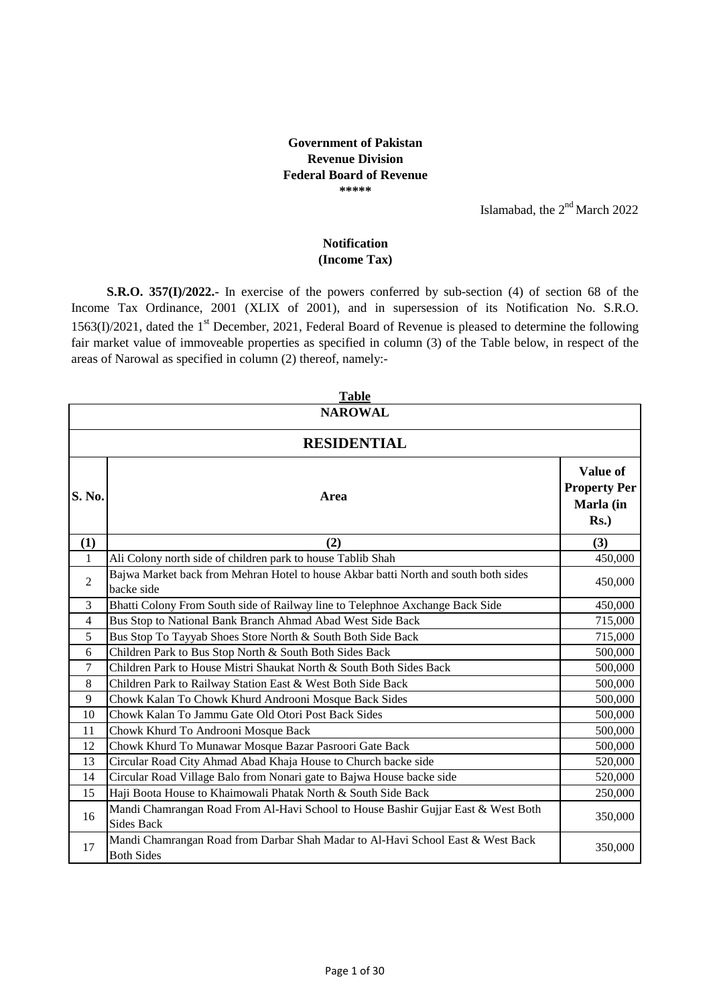## **Government of Pakistan Revenue Division Federal Board of Revenue \*\*\*\*\***

Islamabad, the  $2<sup>nd</sup>$  March 2022

## **(Income Tax) Notification**

**S.R.O. 357(I)/2022.-** In exercise of the powers conferred by sub-section (4) of section 68 of the Income Tax Ordinance, 2001 (XLIX of 2001), and in supersession of its Notification No. S.R.O.  $1563(I)/2021$ , dated the 1<sup>st</sup> December, 2021, Federal Board of Revenue is pleased to determine the following fair market value of immoveable properties as specified in column (3) of the Table below, in respect of the areas of Narowal as specified in column (2) thereof, namely:-

|                | <b>Table</b>                                                                                           |                                                         |  |
|----------------|--------------------------------------------------------------------------------------------------------|---------------------------------------------------------|--|
|                | <b>NAROWAL</b>                                                                                         |                                                         |  |
|                | <b>RESIDENTIAL</b>                                                                                     |                                                         |  |
| S. No.         | Area                                                                                                   | Value of<br><b>Property Per</b><br>Marla (in<br>$Rs.$ ) |  |
| (1)            | (2)                                                                                                    | (3)                                                     |  |
| $\mathbf{1}$   | Ali Colony north side of children park to house Tablib Shah                                            | 450,000                                                 |  |
| $\overline{2}$ | Bajwa Market back from Mehran Hotel to house Akbar batti North and south both sides<br>backe side      | 450,000                                                 |  |
| 3              | Bhatti Colony From South side of Railway line to Telephnoe Axchange Back Side                          | 450,000                                                 |  |
| $\overline{4}$ | Bus Stop to National Bank Branch Ahmad Abad West Side Back                                             | 715,000                                                 |  |
| 5              | Bus Stop To Tayyab Shoes Store North & South Both Side Back                                            | 715,000                                                 |  |
| 6              | Children Park to Bus Stop North & South Both Sides Back                                                | 500,000                                                 |  |
| 7              | Children Park to House Mistri Shaukat North & South Both Sides Back                                    | 500,000                                                 |  |
| 8              | Children Park to Railway Station East & West Both Side Back                                            | 500,000                                                 |  |
| 9              | Chowk Kalan To Chowk Khurd Androoni Mosque Back Sides                                                  | 500,000                                                 |  |
| 10             | Chowk Kalan To Jammu Gate Old Otori Post Back Sides                                                    | 500,000                                                 |  |
| 11             | Chowk Khurd To Androoni Mosque Back                                                                    | 500,000                                                 |  |
| 12             | Chowk Khurd To Munawar Mosque Bazar Pasroori Gate Back                                                 | 500,000                                                 |  |
| 13             | Circular Road City Ahmad Abad Khaja House to Church backe side                                         | 520,000                                                 |  |
| 14             | Circular Road Village Balo from Nonari gate to Bajwa House backe side                                  | 520,000                                                 |  |
| 15             | Haji Boota House to Khaimowali Phatak North & South Side Back                                          | 250,000                                                 |  |
| 16             | Mandi Chamrangan Road From Al-Havi School to House Bashir Gujjar East & West Both<br><b>Sides Back</b> | 350,000                                                 |  |
| 17             | Mandi Chamrangan Road from Darbar Shah Madar to Al-Havi School East & West Back<br><b>Both Sides</b>   | 350,000                                                 |  |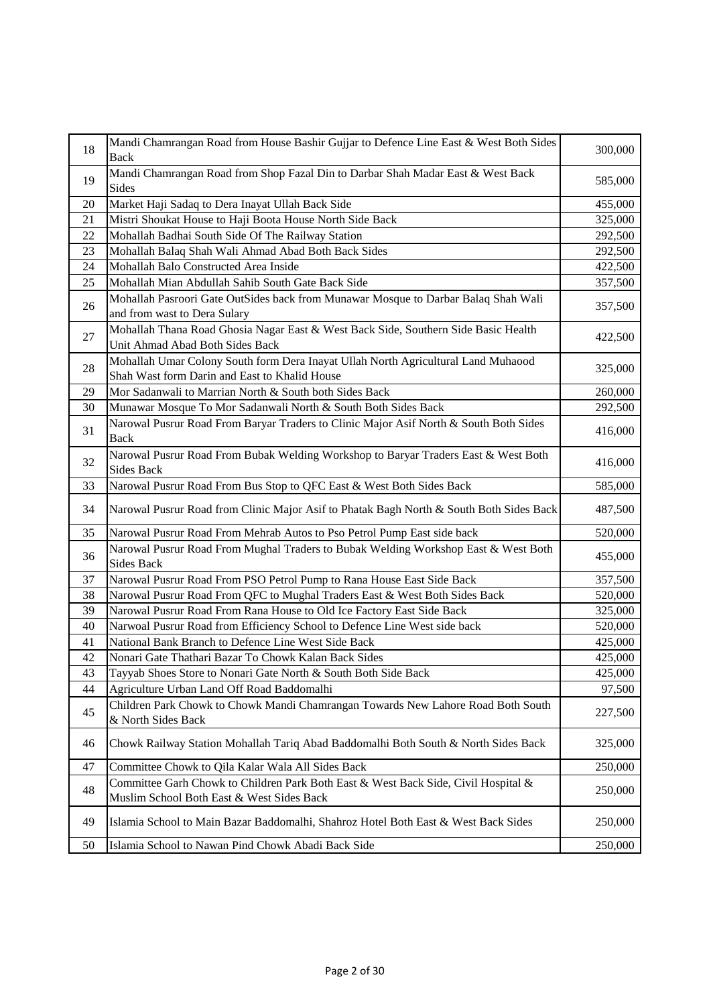| 18 | Mandi Chamrangan Road from House Bashir Gujjar to Defence Line East & West Both Sides<br>Back                                      | 300,000 |
|----|------------------------------------------------------------------------------------------------------------------------------------|---------|
| 19 | Mandi Chamrangan Road from Shop Fazal Din to Darbar Shah Madar East & West Back<br>Sides                                           | 585,000 |
| 20 | Market Haji Sadaq to Dera Inayat Ullah Back Side                                                                                   | 455,000 |
| 21 | Mistri Shoukat House to Haji Boota House North Side Back                                                                           | 325,000 |
| 22 | Mohallah Badhai South Side Of The Railway Station                                                                                  | 292,500 |
| 23 | Mohallah Balaq Shah Wali Ahmad Abad Both Back Sides                                                                                | 292,500 |
| 24 | Mohallah Balo Constructed Area Inside                                                                                              | 422,500 |
| 25 | Mohallah Mian Abdullah Sahib South Gate Back Side                                                                                  | 357,500 |
| 26 | Mohallah Pasroori Gate OutSides back from Munawar Mosque to Darbar Balaq Shah Wali<br>and from wast to Dera Sulary                 | 357,500 |
| 27 | Mohallah Thana Road Ghosia Nagar East & West Back Side, Southern Side Basic Health<br>Unit Ahmad Abad Both Sides Back              | 422,500 |
| 28 | Mohallah Umar Colony South form Dera Inayat Ullah North Agricultural Land Muhaood<br>Shah Wast form Darin and East to Khalid House | 325,000 |
| 29 | Mor Sadanwali to Marrian North & South both Sides Back                                                                             | 260,000 |
| 30 | Munawar Mosque To Mor Sadanwali North & South Both Sides Back                                                                      | 292,500 |
| 31 | Narowal Pusrur Road From Baryar Traders to Clinic Major Asif North & South Both Sides<br><b>Back</b>                               | 416,000 |
| 32 | Narowal Pusrur Road From Bubak Welding Workshop to Baryar Traders East & West Both<br><b>Sides Back</b>                            | 416,000 |
| 33 | Narowal Pusrur Road From Bus Stop to QFC East & West Both Sides Back                                                               | 585,000 |
| 34 | Narowal Pusrur Road from Clinic Major Asif to Phatak Bagh North & South Both Sides Back                                            | 487,500 |
| 35 | Narowal Pusrur Road From Mehrab Autos to Pso Petrol Pump East side back                                                            | 520,000 |
| 36 | Narowal Pusrur Road From Mughal Traders to Bubak Welding Workshop East & West Both<br><b>Sides Back</b>                            | 455,000 |
| 37 | Narowal Pusrur Road From PSO Petrol Pump to Rana House East Side Back                                                              | 357,500 |
| 38 | Narowal Pusrur Road From QFC to Mughal Traders East & West Both Sides Back                                                         | 520,000 |
| 39 | Narowal Pusrur Road From Rana House to Old Ice Factory East Side Back                                                              | 325,000 |
| 40 | Narwoal Pusrur Road from Efficiency School to Defence Line West side back                                                          | 520,000 |
| 41 | National Bank Branch to Defence Line West Side Back                                                                                | 425,000 |
| 42 | Nonari Gate Thathari Bazar To Chowk Kalan Back Sides                                                                               | 425,000 |
| 43 | Tayyab Shoes Store to Nonari Gate North & South Both Side Back                                                                     | 425,000 |
| 44 | Agriculture Urban Land Off Road Baddomalhi                                                                                         | 97,500  |
| 45 | Children Park Chowk to Chowk Mandi Chamrangan Towards New Lahore Road Both South<br>& North Sides Back                             | 227,500 |
| 46 | Chowk Railway Station Mohallah Tariq Abad Baddomalhi Both South & North Sides Back                                                 | 325,000 |
| 47 | Committee Chowk to Qila Kalar Wala All Sides Back                                                                                  | 250,000 |
| 48 | Committee Garh Chowk to Children Park Both East & West Back Side, Civil Hospital &<br>Muslim School Both East & West Sides Back    | 250,000 |
| 49 | Islamia School to Main Bazar Baddomalhi, Shahroz Hotel Both East & West Back Sides                                                 | 250,000 |
| 50 | Islamia School to Nawan Pind Chowk Abadi Back Side                                                                                 | 250,000 |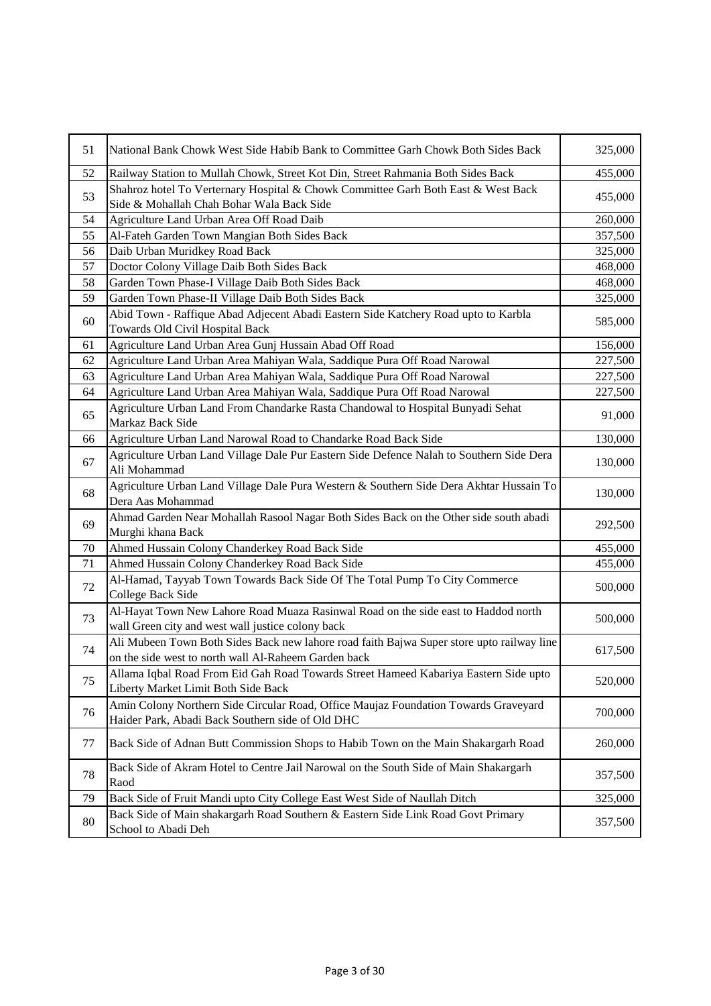| 51 | National Bank Chowk West Side Habib Bank to Committee Garh Chowk Both Sides Back                                                                  | 325,000 |
|----|---------------------------------------------------------------------------------------------------------------------------------------------------|---------|
| 52 | Railway Station to Mullah Chowk, Street Kot Din, Street Rahmania Both Sides Back                                                                  | 455,000 |
| 53 | Shahroz hotel To Verternary Hospital & Chowk Committee Garh Both East & West Back<br>Side & Mohallah Chah Bohar Wala Back Side                    | 455,000 |
| 54 | Agriculture Land Urban Area Off Road Daib                                                                                                         | 260,000 |
| 55 | Al-Fateh Garden Town Mangian Both Sides Back                                                                                                      | 357,500 |
| 56 | Daib Urban Muridkey Road Back                                                                                                                     | 325,000 |
| 57 | Doctor Colony Village Daib Both Sides Back                                                                                                        | 468,000 |
| 58 | Garden Town Phase-I Village Daib Both Sides Back                                                                                                  | 468,000 |
| 59 | Garden Town Phase-II Village Daib Both Sides Back                                                                                                 | 325,000 |
| 60 | Abid Town - Raffique Abad Adjecent Abadi Eastern Side Katchery Road upto to Karbla<br>Towards Old Civil Hospital Back                             | 585,000 |
| 61 | Agriculture Land Urban Area Gunj Hussain Abad Off Road                                                                                            | 156,000 |
| 62 | Agriculture Land Urban Area Mahiyan Wala, Saddique Pura Off Road Narowal                                                                          | 227,500 |
| 63 | Agriculture Land Urban Area Mahiyan Wala, Saddique Pura Off Road Narowal                                                                          | 227,500 |
| 64 | Agriculture Land Urban Area Mahiyan Wala, Saddique Pura Off Road Narowal                                                                          | 227,500 |
| 65 | Agriculture Urban Land From Chandarke Rasta Chandowal to Hospital Bunyadi Sehat<br>Markaz Back Side                                               | 91,000  |
| 66 | Agriculture Urban Land Narowal Road to Chandarke Road Back Side                                                                                   | 130,000 |
| 67 | Agriculture Urban Land Village Dale Pur Eastern Side Defence Nalah to Southern Side Dera<br>Ali Mohammad                                          | 130,000 |
| 68 | Agriculture Urban Land Village Dale Pura Western & Southern Side Dera Akhtar Hussain To<br>Dera Aas Mohammad                                      | 130,000 |
| 69 | Ahmad Garden Near Mohallah Rasool Nagar Both Sides Back on the Other side south abadi<br>Murghi khana Back                                        | 292,500 |
| 70 | Ahmed Hussain Colony Chanderkey Road Back Side                                                                                                    | 455,000 |
| 71 | Ahmed Hussain Colony Chanderkey Road Back Side                                                                                                    | 455,000 |
| 72 | Al-Hamad, Tayyab Town Towards Back Side Of The Total Pump To City Commerce<br>College Back Side                                                   | 500,000 |
| 73 | Al-Hayat Town New Lahore Road Muaza Rasinwal Road on the side east to Haddod north<br>wall Green city and west wall justice colony back           | 500,000 |
| 74 | Ali Mubeen Town Both Sides Back new lahore road faith Bajwa Super store upto railway line<br>on the side west to north wall Al-Raheem Garden back | 617,500 |
| 75 | Allama Iqbal Road From Eid Gah Road Towards Street Hameed Kabariya Eastern Side upto<br>Liberty Market Limit Both Side Back                       | 520,000 |
| 76 | Amin Colony Northern Side Circular Road, Office Maujaz Foundation Towards Graveyard<br>Haider Park, Abadi Back Southern side of Old DHC           | 700,000 |
| 77 | Back Side of Adnan Butt Commission Shops to Habib Town on the Main Shakargarh Road                                                                | 260,000 |
| 78 | Back Side of Akram Hotel to Centre Jail Narowal on the South Side of Main Shakargarh<br>Raod                                                      | 357,500 |
| 79 | Back Side of Fruit Mandi upto City College East West Side of Naullah Ditch                                                                        | 325,000 |
| 80 | Back Side of Main shakargarh Road Southern & Eastern Side Link Road Govt Primary<br>School to Abadi Deh                                           | 357,500 |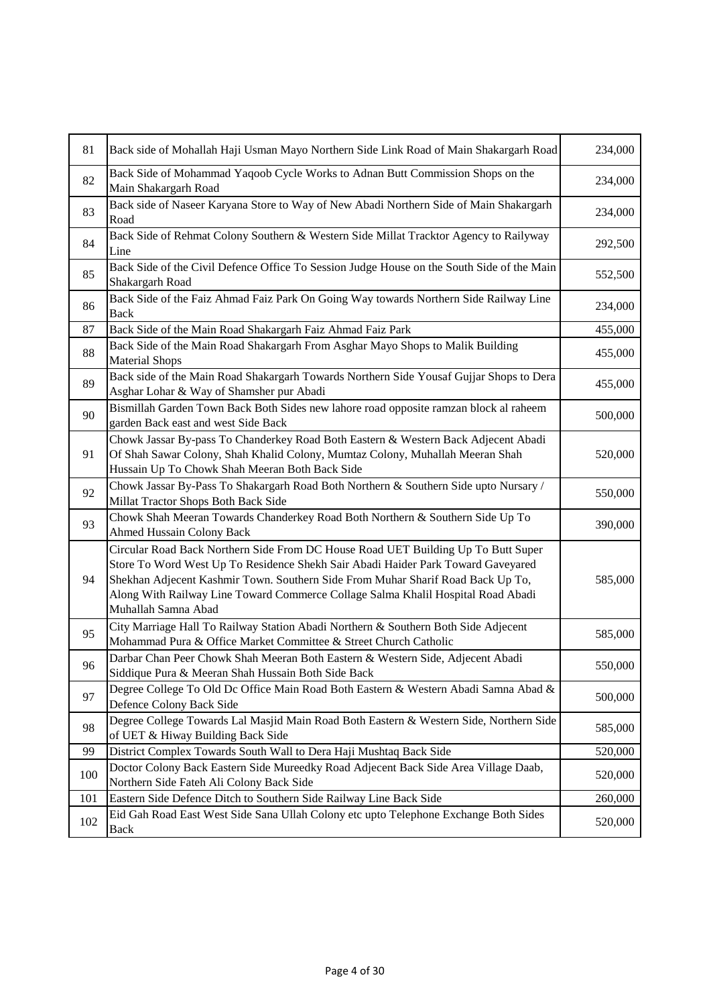| 81  | Back side of Mohallah Haji Usman Mayo Northern Side Link Road of Main Shakargarh Road                                                                                                                                                                                                                                                                               | 234,000 |
|-----|---------------------------------------------------------------------------------------------------------------------------------------------------------------------------------------------------------------------------------------------------------------------------------------------------------------------------------------------------------------------|---------|
| 82  | Back Side of Mohammad Yaqoob Cycle Works to Adnan Butt Commission Shops on the<br>Main Shakargarh Road                                                                                                                                                                                                                                                              | 234,000 |
| 83  | Back side of Naseer Karyana Store to Way of New Abadi Northern Side of Main Shakargarh<br>Road                                                                                                                                                                                                                                                                      | 234,000 |
| 84  | Back Side of Rehmat Colony Southern & Western Side Millat Tracktor Agency to Railyway<br>Line                                                                                                                                                                                                                                                                       | 292,500 |
| 85  | Back Side of the Civil Defence Office To Session Judge House on the South Side of the Main<br>Shakargarh Road                                                                                                                                                                                                                                                       | 552,500 |
| 86  | Back Side of the Faiz Ahmad Faiz Park On Going Way towards Northern Side Railway Line<br><b>Back</b>                                                                                                                                                                                                                                                                | 234,000 |
| 87  | Back Side of the Main Road Shakargarh Faiz Ahmad Faiz Park                                                                                                                                                                                                                                                                                                          | 455,000 |
| 88  | Back Side of the Main Road Shakargarh From Asghar Mayo Shops to Malik Building<br><b>Material Shops</b>                                                                                                                                                                                                                                                             | 455,000 |
| 89  | Back side of the Main Road Shakargarh Towards Northern Side Yousaf Gujjar Shops to Dera<br>Asghar Lohar & Way of Shamsher pur Abadi                                                                                                                                                                                                                                 | 455,000 |
| 90  | Bismillah Garden Town Back Both Sides new lahore road opposite ramzan block al raheem<br>garden Back east and west Side Back                                                                                                                                                                                                                                        | 500,000 |
| 91  | Chowk Jassar By-pass To Chanderkey Road Both Eastern & Western Back Adjecent Abadi<br>Of Shah Sawar Colony, Shah Khalid Colony, Mumtaz Colony, Muhallah Meeran Shah<br>Hussain Up To Chowk Shah Meeran Both Back Side                                                                                                                                               | 520,000 |
| 92  | Chowk Jassar By-Pass To Shakargarh Road Both Northern & Southern Side upto Nursary /<br>Millat Tractor Shops Both Back Side                                                                                                                                                                                                                                         | 550,000 |
| 93  | Chowk Shah Meeran Towards Chanderkey Road Both Northern & Southern Side Up To<br><b>Ahmed Hussain Colony Back</b>                                                                                                                                                                                                                                                   | 390,000 |
| 94  | Circular Road Back Northern Side From DC House Road UET Building Up To Butt Super<br>Store To Word West Up To Residence Shekh Sair Abadi Haider Park Toward Gaveyared<br>Shekhan Adjecent Kashmir Town. Southern Side From Muhar Sharif Road Back Up To,<br>Along With Railway Line Toward Commerce Collage Salma Khalil Hospital Road Abadi<br>Muhallah Samna Abad | 585,000 |
| 95  | City Marriage Hall To Railway Station Abadi Northern & Southern Both Side Adjecent<br>Mohammad Pura & Office Market Committee & Street Church Catholic                                                                                                                                                                                                              | 585,000 |
| 96  | Darbar Chan Peer Chowk Shah Meeran Both Eastern & Western Side, Adjecent Abadi<br>Siddique Pura & Meeran Shah Hussain Both Side Back                                                                                                                                                                                                                                | 550,000 |
| 97  | Degree College To Old Dc Office Main Road Both Eastern & Western Abadi Samna Abad &<br>Defence Colony Back Side                                                                                                                                                                                                                                                     | 500,000 |
| 98  | Degree College Towards Lal Masjid Main Road Both Eastern & Western Side, Northern Side<br>of UET & Hiway Building Back Side                                                                                                                                                                                                                                         | 585,000 |
| 99  | District Complex Towards South Wall to Dera Haji Mushtaq Back Side                                                                                                                                                                                                                                                                                                  | 520,000 |
| 100 | Doctor Colony Back Eastern Side Mureedky Road Adjecent Back Side Area Village Daab,<br>Northern Side Fateh Ali Colony Back Side                                                                                                                                                                                                                                     | 520,000 |
| 101 | Eastern Side Defence Ditch to Southern Side Railway Line Back Side                                                                                                                                                                                                                                                                                                  | 260,000 |
| 102 | Eid Gah Road East West Side Sana Ullah Colony etc upto Telephone Exchange Both Sides<br>Back                                                                                                                                                                                                                                                                        | 520,000 |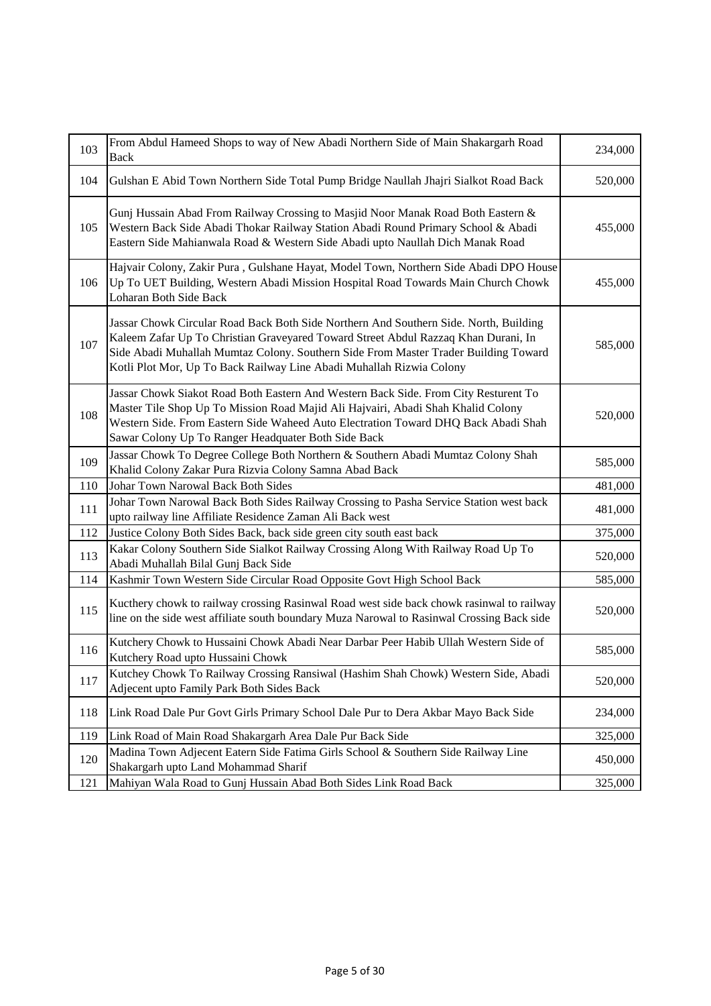| 103 | From Abdul Hameed Shops to way of New Abadi Northern Side of Main Shakargarh Road<br><b>Back</b>                                                                                                                                                                                                                                           | 234,000 |
|-----|--------------------------------------------------------------------------------------------------------------------------------------------------------------------------------------------------------------------------------------------------------------------------------------------------------------------------------------------|---------|
| 104 | Gulshan E Abid Town Northern Side Total Pump Bridge Naullah Jhajri Sialkot Road Back                                                                                                                                                                                                                                                       | 520,000 |
| 105 | Gunj Hussain Abad From Railway Crossing to Masjid Noor Manak Road Both Eastern &<br>Western Back Side Abadi Thokar Railway Station Abadi Round Primary School & Abadi<br>Eastern Side Mahianwala Road & Western Side Abadi upto Naullah Dich Manak Road                                                                                    | 455,000 |
| 106 | Hajvair Colony, Zakir Pura, Gulshane Hayat, Model Town, Northern Side Abadi DPO House<br>Up To UET Building, Western Abadi Mission Hospital Road Towards Main Church Chowk<br>Loharan Both Side Back                                                                                                                                       | 455,000 |
| 107 | Jassar Chowk Circular Road Back Both Side Northern And Southern Side. North, Building<br>Kaleem Zafar Up To Christian Graveyared Toward Street Abdul Razzaq Khan Durani, In<br>Side Abadi Muhallah Mumtaz Colony. Southern Side From Master Trader Building Toward<br>Kotli Plot Mor, Up To Back Railway Line Abadi Muhallah Rizwia Colony | 585,000 |
| 108 | Jassar Chowk Siakot Road Both Eastern And Western Back Side. From City Resturent To<br>Master Tile Shop Up To Mission Road Majid Ali Hajvairi, Abadi Shah Khalid Colony<br>Western Side. From Eastern Side Waheed Auto Electration Toward DHQ Back Abadi Shah<br>Sawar Colony Up To Ranger Headquater Both Side Back                       | 520,000 |
| 109 | Jassar Chowk To Degree College Both Northern & Southern Abadi Mumtaz Colony Shah<br>Khalid Colony Zakar Pura Rizvia Colony Samna Abad Back                                                                                                                                                                                                 | 585,000 |
| 110 | Johar Town Narowal Back Both Sides                                                                                                                                                                                                                                                                                                         | 481,000 |
| 111 | Johar Town Narowal Back Both Sides Railway Crossing to Pasha Service Station west back<br>upto railway line Affiliate Residence Zaman Ali Back west                                                                                                                                                                                        | 481,000 |
| 112 | Justice Colony Both Sides Back, back side green city south east back                                                                                                                                                                                                                                                                       | 375,000 |
| 113 | Kakar Colony Southern Side Sialkot Railway Crossing Along With Railway Road Up To<br>Abadi Muhallah Bilal Gunj Back Side                                                                                                                                                                                                                   | 520,000 |
| 114 | Kashmir Town Western Side Circular Road Opposite Govt High School Back                                                                                                                                                                                                                                                                     | 585,000 |
| 115 | Kucthery chowk to railway crossing Rasinwal Road west side back chowk rasinwal to railway<br>line on the side west affiliate south boundary Muza Narowal to Rasinwal Crossing Back side                                                                                                                                                    | 520,000 |
| 116 | Kutchery Chowk to Hussaini Chowk Abadi Near Darbar Peer Habib Ullah Western Side of<br>Kutchery Road upto Hussaini Chowk                                                                                                                                                                                                                   | 585,000 |
| 117 | Kutchey Chowk To Railway Crossing Ransiwal (Hashim Shah Chowk) Western Side, Abadi<br>Adjecent upto Family Park Both Sides Back                                                                                                                                                                                                            | 520,000 |
| 118 | Link Road Dale Pur Govt Girls Primary School Dale Pur to Dera Akbar Mayo Back Side                                                                                                                                                                                                                                                         | 234,000 |
| 119 | Link Road of Main Road Shakargarh Area Dale Pur Back Side                                                                                                                                                                                                                                                                                  | 325,000 |
| 120 | Madina Town Adjecent Eatern Side Fatima Girls School & Southern Side Railway Line<br>Shakargarh upto Land Mohammad Sharif                                                                                                                                                                                                                  | 450,000 |
| 121 | Mahiyan Wala Road to Gunj Hussain Abad Both Sides Link Road Back                                                                                                                                                                                                                                                                           | 325,000 |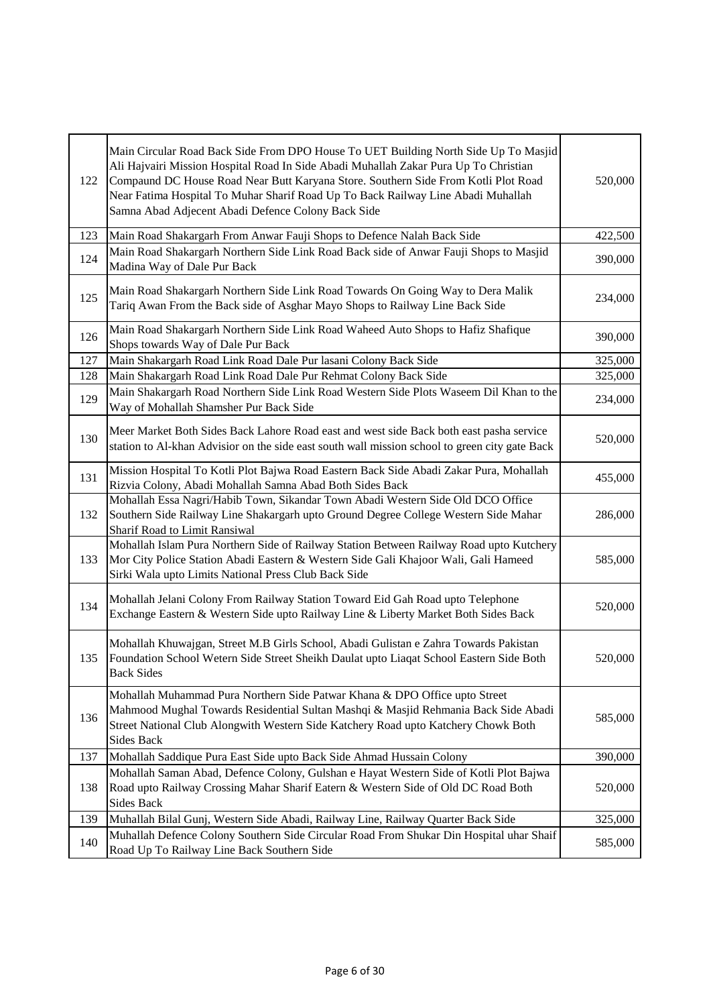| 122 | Main Circular Road Back Side From DPO House To UET Building North Side Up To Masjid<br>Ali Hajvairi Mission Hospital Road In Side Abadi Muhallah Zakar Pura Up To Christian<br>Compaund DC House Road Near Butt Karyana Store. Southern Side From Kotli Plot Road<br>Near Fatima Hospital To Muhar Sharif Road Up To Back Railway Line Abadi Muhallah<br>Samna Abad Adjecent Abadi Defence Colony Back Side | 520,000 |
|-----|-------------------------------------------------------------------------------------------------------------------------------------------------------------------------------------------------------------------------------------------------------------------------------------------------------------------------------------------------------------------------------------------------------------|---------|
| 123 | Main Road Shakargarh From Anwar Fauji Shops to Defence Nalah Back Side                                                                                                                                                                                                                                                                                                                                      | 422,500 |
| 124 | Main Road Shakargarh Northern Side Link Road Back side of Anwar Fauji Shops to Masjid<br>Madina Way of Dale Pur Back                                                                                                                                                                                                                                                                                        | 390,000 |
| 125 | Main Road Shakargarh Northern Side Link Road Towards On Going Way to Dera Malik<br>Tariq Awan From the Back side of Asghar Mayo Shops to Railway Line Back Side                                                                                                                                                                                                                                             | 234,000 |
| 126 | Main Road Shakargarh Northern Side Link Road Waheed Auto Shops to Hafiz Shafique<br>Shops towards Way of Dale Pur Back                                                                                                                                                                                                                                                                                      | 390,000 |
| 127 | Main Shakargarh Road Link Road Dale Pur lasani Colony Back Side                                                                                                                                                                                                                                                                                                                                             | 325,000 |
| 128 | Main Shakargarh Road Link Road Dale Pur Rehmat Colony Back Side                                                                                                                                                                                                                                                                                                                                             | 325,000 |
| 129 | Main Shakargarh Road Northern Side Link Road Western Side Plots Waseem Dil Khan to the<br>Way of Mohallah Shamsher Pur Back Side                                                                                                                                                                                                                                                                            | 234,000 |
| 130 | Meer Market Both Sides Back Lahore Road east and west side Back both east pasha service<br>station to Al-khan Advisior on the side east south wall mission school to green city gate Back                                                                                                                                                                                                                   | 520,000 |
| 131 | Mission Hospital To Kotli Plot Bajwa Road Eastern Back Side Abadi Zakar Pura, Mohallah<br>Rizvia Colony, Abadi Mohallah Samna Abad Both Sides Back                                                                                                                                                                                                                                                          | 455,000 |
| 132 | Mohallah Essa Nagri/Habib Town, Sikandar Town Abadi Western Side Old DCO Office<br>Southern Side Railway Line Shakargarh upto Ground Degree College Western Side Mahar<br>Sharif Road to Limit Ransiwal                                                                                                                                                                                                     | 286,000 |
| 133 | Mohallah Islam Pura Northern Side of Railway Station Between Railway Road upto Kutchery<br>Mor City Police Station Abadi Eastern & Western Side Gali Khajoor Wali, Gali Hameed<br>Sirki Wala upto Limits National Press Club Back Side                                                                                                                                                                      | 585,000 |
| 134 | Mohallah Jelani Colony From Railway Station Toward Eid Gah Road upto Telephone<br>Exchange Eastern & Western Side upto Railway Line & Liberty Market Both Sides Back                                                                                                                                                                                                                                        | 520,000 |
| 135 | Mohallah Khuwajgan, Street M.B Girls School, Abadi Gulistan e Zahra Towards Pakistan<br>Foundation School Wetern Side Street Sheikh Daulat upto Liaqat School Eastern Side Both<br>Back Sides                                                                                                                                                                                                               | 520,000 |
| 136 | Mohallah Muhammad Pura Northern Side Patwar Khana & DPO Office upto Street<br>Mahmood Mughal Towards Residential Sultan Mashqi & Masjid Rehmania Back Side Abadi<br>Street National Club Alongwith Western Side Katchery Road upto Katchery Chowk Both<br><b>Sides Back</b>                                                                                                                                 | 585,000 |
| 137 | Mohallah Saddique Pura East Side upto Back Side Ahmad Hussain Colony                                                                                                                                                                                                                                                                                                                                        | 390,000 |
| 138 | Mohallah Saman Abad, Defence Colony, Gulshan e Hayat Western Side of Kotli Plot Bajwa<br>Road upto Railway Crossing Mahar Sharif Eatern & Western Side of Old DC Road Both<br><b>Sides Back</b>                                                                                                                                                                                                             | 520,000 |
| 139 | Muhallah Bilal Gunj, Western Side Abadi, Railway Line, Railway Quarter Back Side                                                                                                                                                                                                                                                                                                                            | 325,000 |
| 140 | Muhallah Defence Colony Southern Side Circular Road From Shukar Din Hospital uhar Shaif<br>Road Up To Railway Line Back Southern Side                                                                                                                                                                                                                                                                       | 585,000 |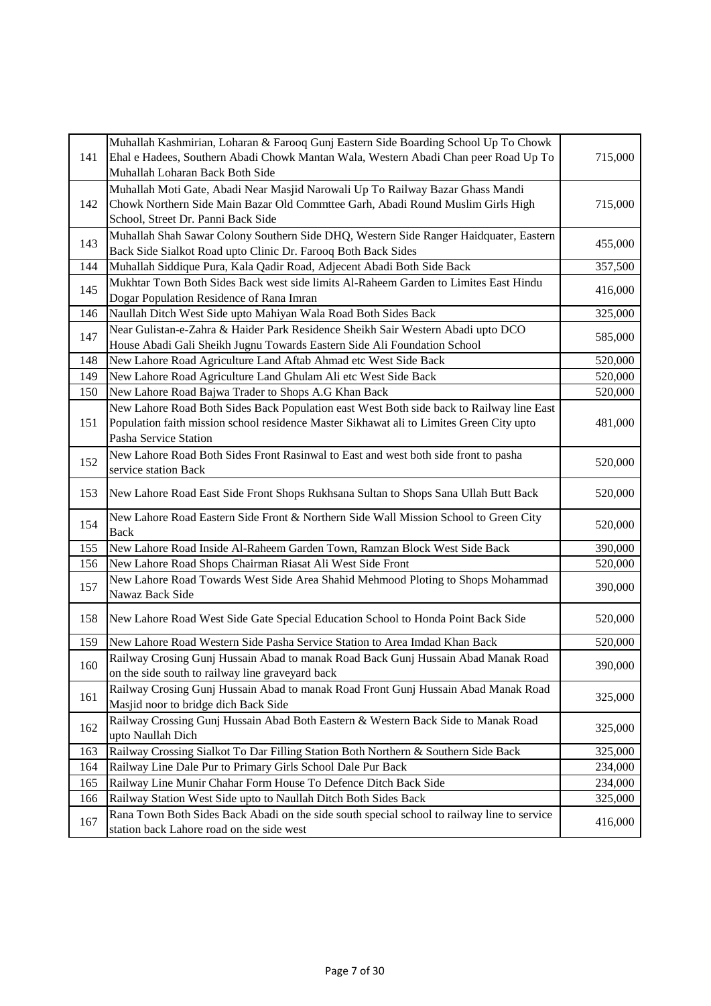| 141 | Muhallah Kashmirian, Loharan & Farooq Gunj Eastern Side Boarding School Up To Chowk<br>Ehal e Hadees, Southern Abadi Chowk Mantan Wala, Western Abadi Chan peer Road Up To<br>Muhallah Loharan Back Both Side | 715,000 |
|-----|---------------------------------------------------------------------------------------------------------------------------------------------------------------------------------------------------------------|---------|
| 142 | Muhallah Moti Gate, Abadi Near Masjid Narowali Up To Railway Bazar Ghass Mandi<br>Chowk Northern Side Main Bazar Old Commttee Garh, Abadi Round Muslim Girls High<br>School, Street Dr. Panni Back Side       | 715,000 |
| 143 | Muhallah Shah Sawar Colony Southern Side DHQ, Western Side Ranger Haidquater, Eastern<br>Back Side Sialkot Road upto Clinic Dr. Farooq Both Back Sides                                                        | 455,000 |
| 144 | Muhallah Siddique Pura, Kala Qadir Road, Adjecent Abadi Both Side Back                                                                                                                                        | 357,500 |
| 145 | Mukhtar Town Both Sides Back west side limits Al-Raheem Garden to Limites East Hindu<br>Dogar Population Residence of Rana Imran                                                                              | 416,000 |
| 146 | Naullah Ditch West Side upto Mahiyan Wala Road Both Sides Back                                                                                                                                                | 325,000 |
| 147 | Near Gulistan-e-Zahra & Haider Park Residence Sheikh Sair Western Abadi upto DCO<br>House Abadi Gali Sheikh Jugnu Towards Eastern Side Ali Foundation School                                                  | 585,000 |
| 148 | New Lahore Road Agriculture Land Aftab Ahmad etc West Side Back                                                                                                                                               | 520,000 |
| 149 | New Lahore Road Agriculture Land Ghulam Ali etc West Side Back                                                                                                                                                | 520,000 |
| 150 | New Lahore Road Bajwa Trader to Shops A.G Khan Back                                                                                                                                                           | 520,000 |
| 151 | New Lahore Road Both Sides Back Population east West Both side back to Railway line East<br>Population faith mission school residence Master Sikhawat ali to Limites Green City upto<br>Pasha Service Station | 481,000 |
| 152 | New Lahore Road Both Sides Front Rasinwal to East and west both side front to pasha<br>service station Back                                                                                                   | 520,000 |
| 153 | New Lahore Road East Side Front Shops Rukhsana Sultan to Shops Sana Ullah Butt Back                                                                                                                           | 520,000 |
| 154 | New Lahore Road Eastern Side Front & Northern Side Wall Mission School to Green City<br>Back                                                                                                                  | 520,000 |
| 155 | New Lahore Road Inside Al-Raheem Garden Town, Ramzan Block West Side Back                                                                                                                                     | 390,000 |
| 156 | New Lahore Road Shops Chairman Riasat Ali West Side Front                                                                                                                                                     | 520,000 |
| 157 | New Lahore Road Towards West Side Area Shahid Mehmood Ploting to Shops Mohammad<br>Nawaz Back Side                                                                                                            | 390,000 |
| 158 | New Lahore Road West Side Gate Special Education School to Honda Point Back Side                                                                                                                              | 520,000 |
| 159 | New Lahore Road Western Side Pasha Service Station to Area Imdad Khan Back                                                                                                                                    | 520,000 |
| 160 | Railway Crosing Gunj Hussain Abad to manak Road Back Gunj Hussain Abad Manak Road<br>on the side south to railway line graveyard back                                                                         | 390,000 |
| 161 | Railway Crosing Gunj Hussain Abad to manak Road Front Gunj Hussain Abad Manak Road<br>Masjid noor to bridge dich Back Side                                                                                    | 325,000 |
| 162 | Railway Crossing Gunj Hussain Abad Both Eastern & Western Back Side to Manak Road<br>upto Naullah Dich                                                                                                        | 325,000 |
| 163 | Railway Crossing Sialkot To Dar Filling Station Both Northern & Southern Side Back                                                                                                                            | 325,000 |
| 164 | Railway Line Dale Pur to Primary Girls School Dale Pur Back                                                                                                                                                   | 234,000 |
| 165 | Railway Line Munir Chahar Form House To Defence Ditch Back Side                                                                                                                                               | 234,000 |
| 166 | Railway Station West Side upto to Naullah Ditch Both Sides Back                                                                                                                                               | 325,000 |
| 167 | Rana Town Both Sides Back Abadi on the side south special school to railway line to service<br>station back Lahore road on the side west                                                                      | 416,000 |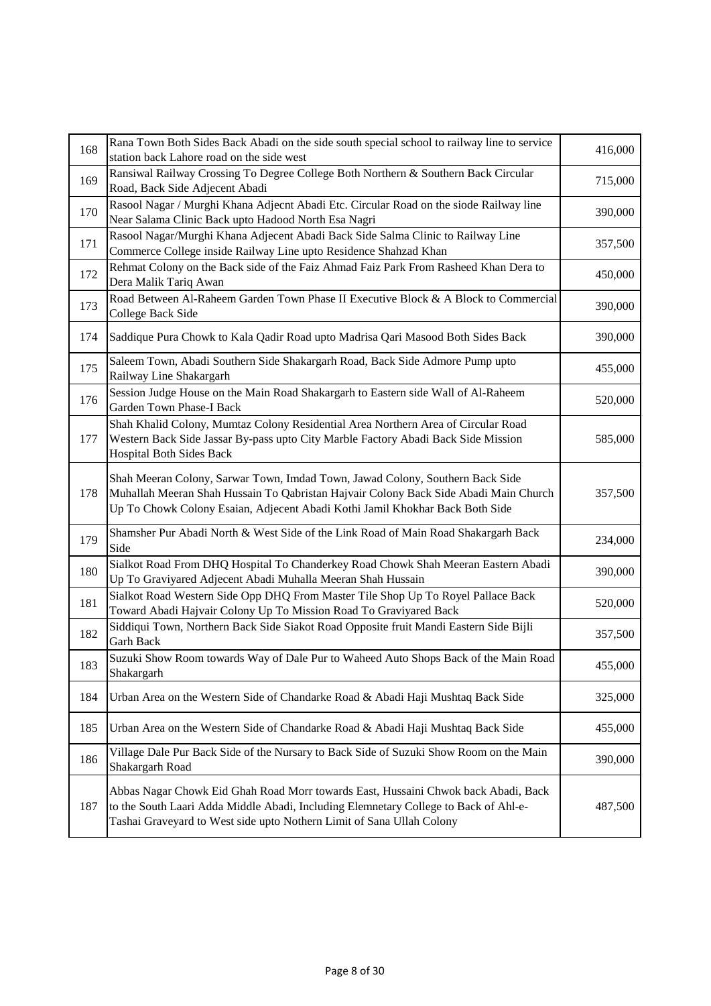| 168 | Rana Town Both Sides Back Abadi on the side south special school to railway line to service<br>station back Lahore road on the side west                                                                                                              | 416,000 |
|-----|-------------------------------------------------------------------------------------------------------------------------------------------------------------------------------------------------------------------------------------------------------|---------|
| 169 | Ransiwal Railway Crossing To Degree College Both Northern & Southern Back Circular<br>Road, Back Side Adjecent Abadi                                                                                                                                  | 715,000 |
| 170 | Rasool Nagar / Murghi Khana Adjecnt Abadi Etc. Circular Road on the siode Railway line<br>Near Salama Clinic Back upto Hadood North Esa Nagri                                                                                                         | 390,000 |
| 171 | Rasool Nagar/Murghi Khana Adjecent Abadi Back Side Salma Clinic to Railway Line<br>Commerce College inside Railway Line upto Residence Shahzad Khan                                                                                                   | 357,500 |
| 172 | Rehmat Colony on the Back side of the Faiz Ahmad Faiz Park From Rasheed Khan Dera to<br>Dera Malik Tariq Awan                                                                                                                                         | 450,000 |
| 173 | Road Between Al-Raheem Garden Town Phase II Executive Block & A Block to Commercial<br>College Back Side                                                                                                                                              | 390,000 |
| 174 | Saddique Pura Chowk to Kala Qadir Road upto Madrisa Qari Masood Both Sides Back                                                                                                                                                                       | 390,000 |
| 175 | Saleem Town, Abadi Southern Side Shakargarh Road, Back Side Admore Pump upto<br>Railway Line Shakargarh                                                                                                                                               | 455,000 |
| 176 | Session Judge House on the Main Road Shakargarh to Eastern side Wall of Al-Raheem<br>Garden Town Phase-I Back                                                                                                                                         | 520,000 |
| 177 | Shah Khalid Colony, Mumtaz Colony Residential Area Northern Area of Circular Road<br>Western Back Side Jassar By-pass upto City Marble Factory Abadi Back Side Mission<br>Hospital Both Sides Back                                                    | 585,000 |
| 178 | Shah Meeran Colony, Sarwar Town, Imdad Town, Jawad Colony, Southern Back Side<br>Muhallah Meeran Shah Hussain To Qabristan Hajvair Colony Back Side Abadi Main Church<br>Up To Chowk Colony Esaian, Adjecent Abadi Kothi Jamil Khokhar Back Both Side | 357,500 |
| 179 | Shamsher Pur Abadi North & West Side of the Link Road of Main Road Shakargarh Back<br>Side                                                                                                                                                            | 234,000 |
| 180 | Sialkot Road From DHQ Hospital To Chanderkey Road Chowk Shah Meeran Eastern Abadi<br>Up To Graviyared Adjecent Abadi Muhalla Meeran Shah Hussain                                                                                                      | 390,000 |
| 181 | Sialkot Road Western Side Opp DHQ From Master Tile Shop Up To Royel Pallace Back<br>Toward Abadi Hajvair Colony Up To Mission Road To Graviyared Back                                                                                                 | 520,000 |
| 182 | Siddiqui Town, Northern Back Side Siakot Road Opposite fruit Mandi Eastern Side Bijli<br><b>Garh Back</b>                                                                                                                                             | 357,500 |
| 183 | Suzuki Show Room towards Way of Dale Pur to Waheed Auto Shops Back of the Main Road<br>Shakargarh                                                                                                                                                     | 455,000 |
| 184 | Urban Area on the Western Side of Chandarke Road & Abadi Haji Mushtaq Back Side                                                                                                                                                                       | 325,000 |
| 185 | Urban Area on the Western Side of Chandarke Road & Abadi Haji Mushtaq Back Side                                                                                                                                                                       | 455,000 |
| 186 | Village Dale Pur Back Side of the Nursary to Back Side of Suzuki Show Room on the Main<br>Shakargarh Road                                                                                                                                             | 390,000 |
| 187 | Abbas Nagar Chowk Eid Ghah Road Morr towards East, Hussaini Chwok back Abadi, Back<br>to the South Laari Adda Middle Abadi, Including Elemnetary College to Back of Ahl-e-<br>Tashai Graveyard to West side upto Nothern Limit of Sana Ullah Colony   | 487,500 |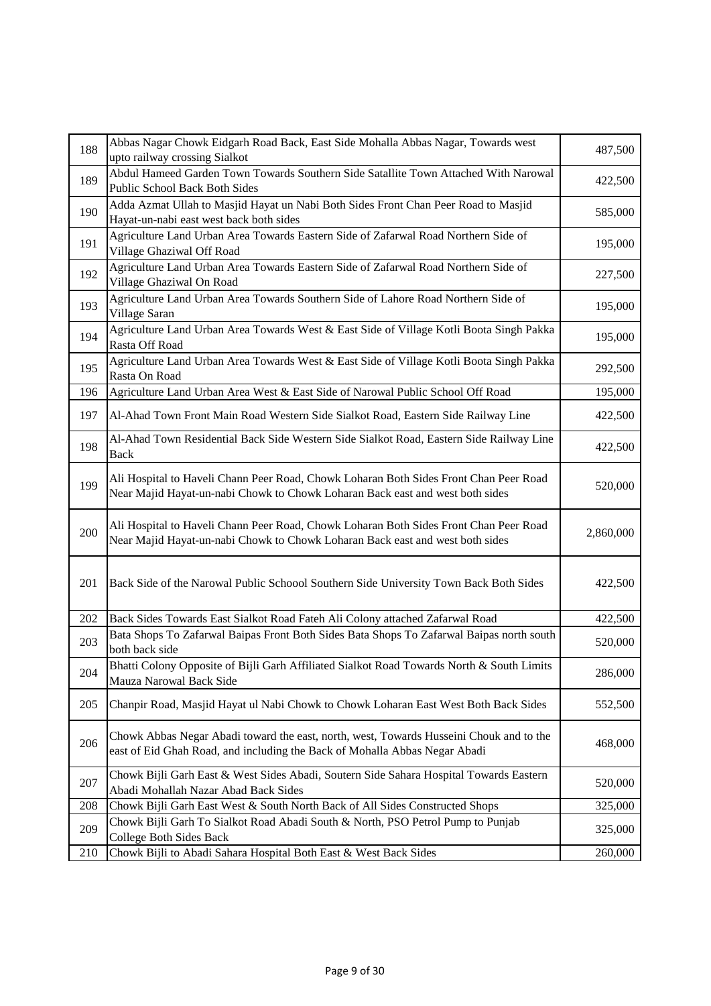| 188 | Abbas Nagar Chowk Eidgarh Road Back, East Side Mohalla Abbas Nagar, Towards west<br>upto railway crossing Sialkot                                                      | 487,500   |
|-----|------------------------------------------------------------------------------------------------------------------------------------------------------------------------|-----------|
| 189 | Abdul Hameed Garden Town Towards Southern Side Satallite Town Attached With Narowal<br><b>Public School Back Both Sides</b>                                            | 422,500   |
| 190 | Adda Azmat Ullah to Masjid Hayat un Nabi Both Sides Front Chan Peer Road to Masjid<br>Hayat-un-nabi east west back both sides                                          | 585,000   |
| 191 | Agriculture Land Urban Area Towards Eastern Side of Zafarwal Road Northern Side of<br>Village Ghaziwal Off Road                                                        | 195,000   |
| 192 | Agriculture Land Urban Area Towards Eastern Side of Zafarwal Road Northern Side of<br>Village Ghaziwal On Road                                                         | 227,500   |
| 193 | Agriculture Land Urban Area Towards Southern Side of Lahore Road Northern Side of<br>Village Saran                                                                     | 195,000   |
| 194 | Agriculture Land Urban Area Towards West & East Side of Village Kotli Boota Singh Pakka<br>Rasta Off Road                                                              | 195,000   |
| 195 | Agriculture Land Urban Area Towards West & East Side of Village Kotli Boota Singh Pakka<br>Rasta On Road                                                               | 292,500   |
| 196 | Agriculture Land Urban Area West & East Side of Narowal Public School Off Road                                                                                         | 195,000   |
| 197 | Al-Ahad Town Front Main Road Western Side Sialkot Road, Eastern Side Railway Line                                                                                      | 422,500   |
| 198 | Al-Ahad Town Residential Back Side Western Side Sialkot Road, Eastern Side Railway Line<br>Back                                                                        | 422,500   |
| 199 | Ali Hospital to Haveli Chann Peer Road, Chowk Loharan Both Sides Front Chan Peer Road<br>Near Majid Hayat-un-nabi Chowk to Chowk Loharan Back east and west both sides | 520,000   |
| 200 | Ali Hospital to Haveli Chann Peer Road, Chowk Loharan Both Sides Front Chan Peer Road<br>Near Majid Hayat-un-nabi Chowk to Chowk Loharan Back east and west both sides | 2,860,000 |
| 201 | Back Side of the Narowal Public Schoool Southern Side University Town Back Both Sides                                                                                  | 422,500   |
| 202 | Back Sides Towards East Sialkot Road Fateh Ali Colony attached Zafarwal Road                                                                                           | 422,500   |
| 203 | Bata Shops To Zafarwal Baipas Front Both Sides Bata Shops To Zafarwal Baipas north south<br>both back side                                                             | 520,000   |
| 204 | Bhatti Colony Opposite of Bijli Garh Affiliated Sialkot Road Towards North & South Limits<br>Mauza Narowal Back Side                                                   | 286,000   |
| 205 | Chanpir Road, Masjid Hayat ul Nabi Chowk to Chowk Loharan East West Both Back Sides                                                                                    | 552,500   |
| 206 | Chowk Abbas Negar Abadi toward the east, north, west, Towards Husseini Chouk and to the<br>east of Eid Ghah Road, and including the Back of Mohalla Abbas Negar Abadi  | 468,000   |
| 207 | Chowk Bijli Garh East & West Sides Abadi, Soutern Side Sahara Hospital Towards Eastern<br>Abadi Mohallah Nazar Abad Back Sides                                         | 520,000   |
| 208 | Chowk Bijli Garh East West & South North Back of All Sides Constructed Shops                                                                                           | 325,000   |
| 209 | Chowk Bijli Garh To Sialkot Road Abadi South & North, PSO Petrol Pump to Punjab<br><b>College Both Sides Back</b>                                                      | 325,000   |
| 210 | Chowk Bijli to Abadi Sahara Hospital Both East & West Back Sides                                                                                                       | 260,000   |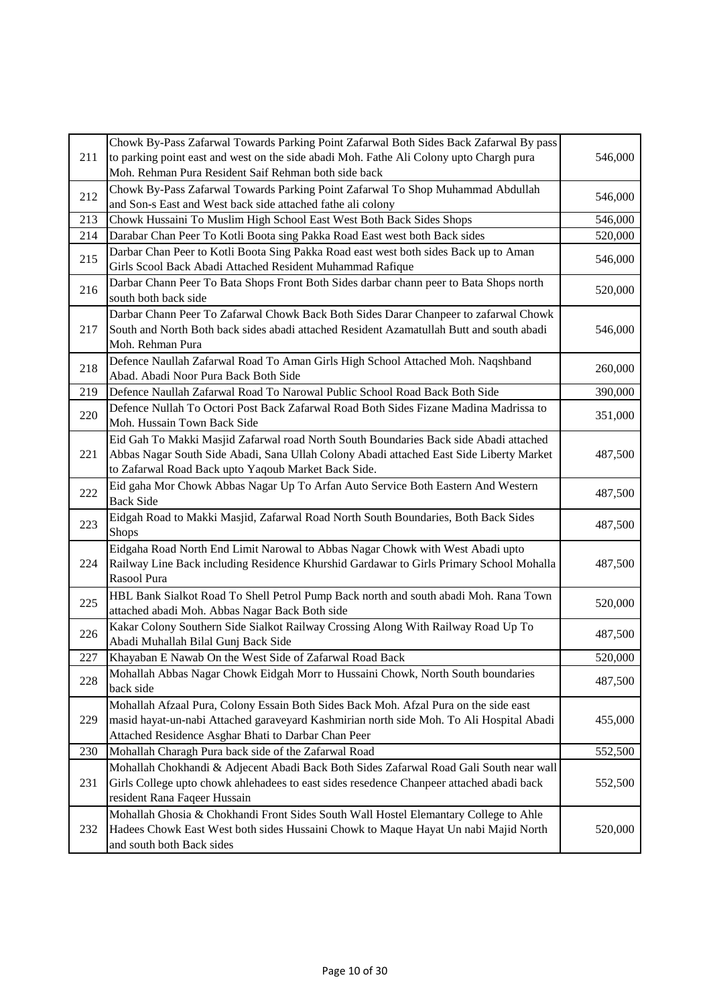| 211 | Chowk By-Pass Zafarwal Towards Parking Point Zafarwal Both Sides Back Zafarwal By pass<br>to parking point east and west on the side abadi Moh. Fathe Ali Colony upto Chargh pura<br>Moh. Rehman Pura Resident Saif Rehman both side back | 546,000 |
|-----|-------------------------------------------------------------------------------------------------------------------------------------------------------------------------------------------------------------------------------------------|---------|
| 212 | Chowk By-Pass Zafarwal Towards Parking Point Zafarwal To Shop Muhammad Abdullah<br>and Son-s East and West back side attached fathe ali colony                                                                                            | 546,000 |
| 213 | Chowk Hussaini To Muslim High School East West Both Back Sides Shops                                                                                                                                                                      | 546,000 |
| 214 | Darabar Chan Peer To Kotli Boota sing Pakka Road East west both Back sides                                                                                                                                                                | 520,000 |
| 215 | Darbar Chan Peer to Kotli Boota Sing Pakka Road east west both sides Back up to Aman<br>Girls Scool Back Abadi Attached Resident Muhammad Rafique                                                                                         | 546,000 |
| 216 | Darbar Chann Peer To Bata Shops Front Both Sides darbar chann peer to Bata Shops north<br>south both back side                                                                                                                            | 520,000 |
| 217 | Darbar Chann Peer To Zafarwal Chowk Back Both Sides Darar Chanpeer to zafarwal Chowk<br>South and North Both back sides abadi attached Resident Azamatullah Butt and south abadi<br>Moh. Rehman Pura                                      | 546,000 |
| 218 | Defence Naullah Zafarwal Road To Aman Girls High School Attached Moh. Naqshband<br>Abad. Abadi Noor Pura Back Both Side                                                                                                                   | 260,000 |
| 219 | Defence Naullah Zafarwal Road To Narowal Public School Road Back Both Side                                                                                                                                                                | 390,000 |
| 220 | Defence Nullah To Octori Post Back Zafarwal Road Both Sides Fizane Madina Madrissa to<br>Moh. Hussain Town Back Side                                                                                                                      | 351,000 |
| 221 | Eid Gah To Makki Masjid Zafarwal road North South Boundaries Back side Abadi attached<br>Abbas Nagar South Side Abadi, Sana Ullah Colony Abadi attached East Side Liberty Market<br>to Zafarwal Road Back upto Yaqoub Market Back Side.   | 487,500 |
| 222 | Eid gaha Mor Chowk Abbas Nagar Up To Arfan Auto Service Both Eastern And Western<br><b>Back Side</b>                                                                                                                                      | 487,500 |
| 223 | Eidgah Road to Makki Masjid, Zafarwal Road North South Boundaries, Both Back Sides<br><b>Shops</b>                                                                                                                                        | 487,500 |
| 224 | Eidgaha Road North End Limit Narowal to Abbas Nagar Chowk with West Abadi upto<br>Railway Line Back including Residence Khurshid Gardawar to Girls Primary School Mohalla<br>Rasool Pura                                                  | 487,500 |
| 225 | HBL Bank Sialkot Road To Shell Petrol Pump Back north and south abadi Moh. Rana Town<br>attached abadi Moh. Abbas Nagar Back Both side                                                                                                    | 520,000 |
| 226 | Kakar Colony Southern Side Sialkot Railway Crossing Along With Railway Road Up To<br>Abadi Muhallah Bilal Gunj Back Side                                                                                                                  | 487,500 |
| 227 | Khayaban E Nawab On the West Side of Zafarwal Road Back                                                                                                                                                                                   | 520,000 |
| 228 | Mohallah Abbas Nagar Chowk Eidgah Morr to Hussaini Chowk, North South boundaries<br>back side                                                                                                                                             | 487,500 |
| 229 | Mohallah Afzaal Pura, Colony Essain Both Sides Back Moh. Afzal Pura on the side east<br>masid hayat-un-nabi Attached garaveyard Kashmirian north side Moh. To Ali Hospital Abadi<br>Attached Residence Asghar Bhati to Darbar Chan Peer   | 455,000 |
| 230 | Mohallah Charagh Pura back side of the Zafarwal Road                                                                                                                                                                                      | 552,500 |
| 231 | Mohallah Chokhandi & Adjecent Abadi Back Both Sides Zafarwal Road Gali South near wall<br>Girls College upto chowk ahlehadees to east sides resedence Chanpeer attached abadi back<br>resident Rana Faqeer Hussain                        | 552,500 |
| 232 | Mohallah Ghosia & Chokhandi Front Sides South Wall Hostel Elemantary College to Ahle<br>Hadees Chowk East West both sides Hussaini Chowk to Maque Hayat Un nabi Majid North<br>and south both Back sides                                  | 520,000 |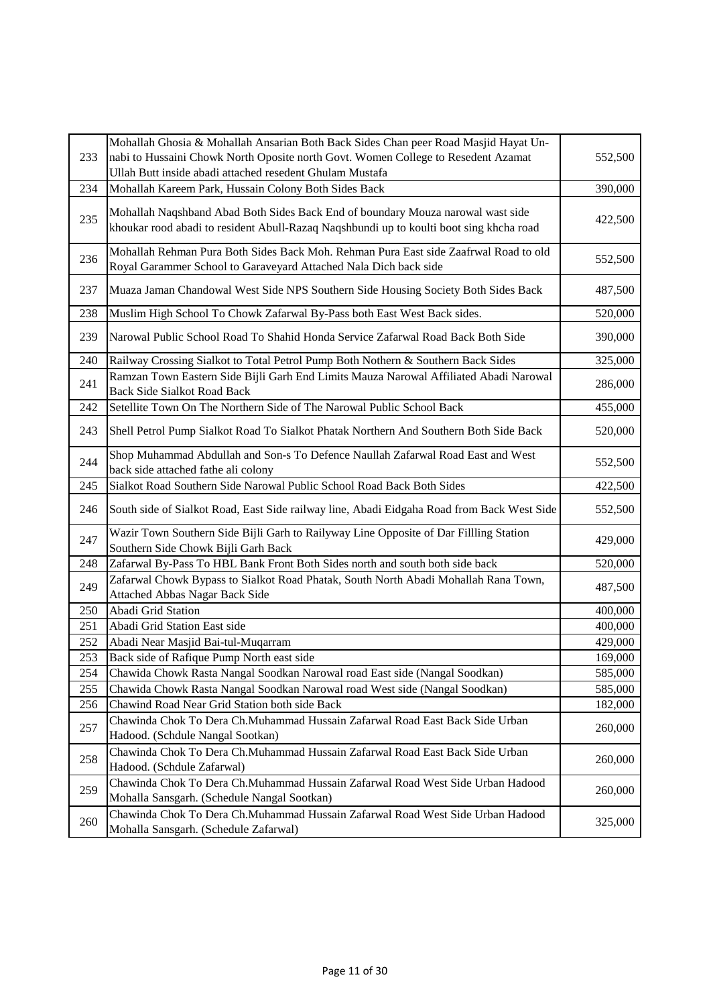| 233 | Mohallah Ghosia & Mohallah Ansarian Both Back Sides Chan peer Road Masjid Hayat Un-<br>nabi to Hussaini Chowk North Oposite north Govt. Women College to Resedent Azamat<br>Ullah Butt inside abadi attached resedent Ghulam Mustafa | 552,500 |
|-----|--------------------------------------------------------------------------------------------------------------------------------------------------------------------------------------------------------------------------------------|---------|
| 234 | Mohallah Kareem Park, Hussain Colony Both Sides Back                                                                                                                                                                                 | 390,000 |
| 235 | Mohallah Naqshband Abad Both Sides Back End of boundary Mouza narowal wast side<br>khoukar rood abadi to resident Abull-Razaq Naqshbundi up to koulti boot sing khcha road                                                           | 422,500 |
| 236 | Mohallah Rehman Pura Both Sides Back Moh. Rehman Pura East side Zaafrwal Road to old<br>Royal Garammer School to Garaveyard Attached Nala Dich back side                                                                             | 552,500 |
| 237 | Muaza Jaman Chandowal West Side NPS Southern Side Housing Society Both Sides Back                                                                                                                                                    | 487,500 |
| 238 | Muslim High School To Chowk Zafarwal By-Pass both East West Back sides.                                                                                                                                                              | 520,000 |
| 239 | Narowal Public School Road To Shahid Honda Service Zafarwal Road Back Both Side                                                                                                                                                      | 390,000 |
| 240 | Railway Crossing Sialkot to Total Petrol Pump Both Nothern & Southern Back Sides                                                                                                                                                     | 325,000 |
| 241 | Ramzan Town Eastern Side Bijli Garh End Limits Mauza Narowal Affiliated Abadi Narowal<br><b>Back Side Sialkot Road Back</b>                                                                                                          | 286,000 |
| 242 | Setellite Town On The Northern Side of The Narowal Public School Back                                                                                                                                                                | 455,000 |
| 243 | Shell Petrol Pump Sialkot Road To Sialkot Phatak Northern And Southern Both Side Back                                                                                                                                                | 520,000 |
| 244 | Shop Muhammad Abdullah and Son-s To Defence Naullah Zafarwal Road East and West<br>back side attached fathe ali colony                                                                                                               | 552,500 |
| 245 | Sialkot Road Southern Side Narowal Public School Road Back Both Sides                                                                                                                                                                | 422,500 |
| 246 | South side of Sialkot Road, East Side railway line, Abadi Eidgaha Road from Back West Side                                                                                                                                           | 552,500 |
| 247 | Wazir Town Southern Side Bijli Garh to Railyway Line Opposite of Dar Fillling Station<br>Southern Side Chowk Bijli Garh Back                                                                                                         | 429,000 |
| 248 | Zafarwal By-Pass To HBL Bank Front Both Sides north and south both side back                                                                                                                                                         | 520,000 |
| 249 | Zafarwal Chowk Bypass to Sialkot Road Phatak, South North Abadi Mohallah Rana Town,<br>Attached Abbas Nagar Back Side                                                                                                                | 487,500 |
| 250 | Abadi Grid Station                                                                                                                                                                                                                   | 400,000 |
| 251 | Abadi Grid Station East side                                                                                                                                                                                                         | 400,000 |
| 252 | Abadi Near Masjid Bai-tul-Muqarram                                                                                                                                                                                                   | 429,000 |
| 253 | Back side of Rafique Pump North east side                                                                                                                                                                                            | 169,000 |
| 254 | Chawida Chowk Rasta Nangal Soodkan Narowal road East side (Nangal Soodkan)                                                                                                                                                           | 585,000 |
| 255 | Chawida Chowk Rasta Nangal Soodkan Narowal road West side (Nangal Soodkan)                                                                                                                                                           | 585,000 |
| 256 | Chawind Road Near Grid Station both side Back                                                                                                                                                                                        | 182,000 |
| 257 | Chawinda Chok To Dera Ch.Muhammad Hussain Zafarwal Road East Back Side Urban<br>Hadood. (Schdule Nangal Sootkan)                                                                                                                     | 260,000 |
| 258 | Chawinda Chok To Dera Ch.Muhammad Hussain Zafarwal Road East Back Side Urban<br>Hadood. (Schdule Zafarwal)                                                                                                                           | 260,000 |
| 259 | Chawinda Chok To Dera Ch.Muhammad Hussain Zafarwal Road West Side Urban Hadood<br>Mohalla Sansgarh. (Schedule Nangal Sootkan)                                                                                                        | 260,000 |
| 260 | Chawinda Chok To Dera Ch.Muhammad Hussain Zafarwal Road West Side Urban Hadood<br>Mohalla Sansgarh. (Schedule Zafarwal)                                                                                                              | 325,000 |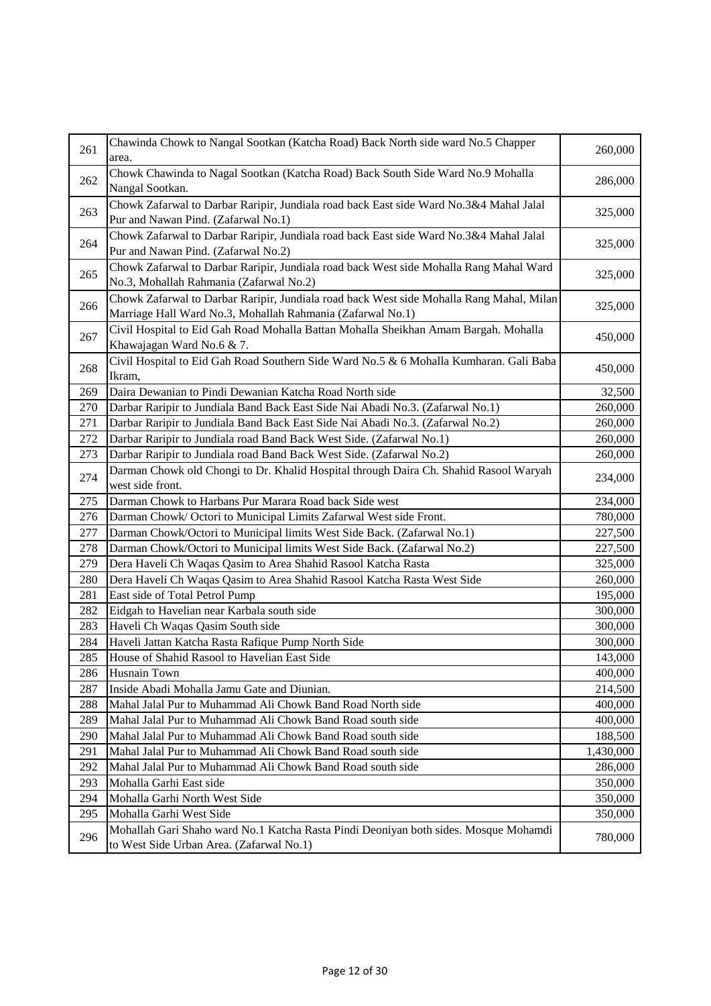| 261 | Chawinda Chowk to Nangal Sootkan (Katcha Road) Back North side ward No.5 Chapper<br>area.                                                              | 260,000   |
|-----|--------------------------------------------------------------------------------------------------------------------------------------------------------|-----------|
| 262 | Chowk Chawinda to Nagal Sootkan (Katcha Road) Back South Side Ward No.9 Mohalla<br>Nangal Sootkan.                                                     | 286,000   |
| 263 | Chowk Zafarwal to Darbar Raripir, Jundiala road back East side Ward No.3&4 Mahal Jalal<br>Pur and Nawan Pind. (Zafarwal No.1)                          | 325,000   |
| 264 | Chowk Zafarwal to Darbar Raripir, Jundiala road back East side Ward No.3&4 Mahal Jalal<br>Pur and Nawan Pind. (Zafarwal No.2)                          | 325,000   |
| 265 | Chowk Zafarwal to Darbar Raripir, Jundiala road back West side Mohalla Rang Mahal Ward<br>No.3, Mohallah Rahmania (Zafarwal No.2)                      | 325,000   |
| 266 | Chowk Zafarwal to Darbar Raripir, Jundiala road back West side Mohalla Rang Mahal, Milan<br>Marriage Hall Ward No.3, Mohallah Rahmania (Zafarwal No.1) | 325,000   |
| 267 | Civil Hospital to Eid Gah Road Mohalla Battan Mohalla Sheikhan Amam Bargah. Mohalla<br>Khawajagan Ward No.6 & 7.                                       | 450,000   |
| 268 | Civil Hospital to Eid Gah Road Southern Side Ward No.5 & 6 Mohalla Kumharan. Gali Baba<br>Ikram,                                                       | 450,000   |
| 269 | Daira Dewanian to Pindi Dewanian Katcha Road North side                                                                                                | 32,500    |
| 270 | Darbar Raripir to Jundiala Band Back East Side Nai Abadi No.3. (Zafarwal No.1)                                                                         | 260,000   |
| 271 | Darbar Raripir to Jundiala Band Back East Side Nai Abadi No.3. (Zafarwal No.2)                                                                         | 260,000   |
| 272 | Darbar Raripir to Jundiala road Band Back West Side. (Zafarwal No.1)                                                                                   | 260,000   |
| 273 | Darbar Raripir to Jundiala road Band Back West Side. (Zafarwal No.2)                                                                                   | 260,000   |
| 274 | Darman Chowk old Chongi to Dr. Khalid Hospital through Daira Ch. Shahid Rasool Waryah<br>west side front.                                              | 234,000   |
| 275 | Darman Chowk to Harbans Pur Marara Road back Side west                                                                                                 | 234,000   |
| 276 | Darman Chowk/ Octori to Municipal Limits Zafarwal West side Front.                                                                                     | 780,000   |
| 277 | Darman Chowk/Octori to Municipal limits West Side Back. (Zafarwal No.1)                                                                                | 227,500   |
| 278 | Darman Chowk/Octori to Municipal limits West Side Back. (Zafarwal No.2)                                                                                | 227,500   |
| 279 | Dera Haveli Ch Waqas Qasim to Area Shahid Rasool Katcha Rasta                                                                                          | 325,000   |
| 280 | Dera Haveli Ch Waqas Qasim to Area Shahid Rasool Katcha Rasta West Side                                                                                | 260,000   |
| 281 | East side of Total Petrol Pump                                                                                                                         | 195,000   |
| 282 | Eidgah to Havelian near Karbala south side                                                                                                             | 300,000   |
| 283 | Haveli Ch Waqas Qasim South side                                                                                                                       | 300,000   |
| 284 | Haveli Jattan Katcha Rasta Rafique Pump North Side                                                                                                     | 300,000   |
| 285 | House of Shahid Rasool to Havelian East Side                                                                                                           | 143,000   |
| 286 | <b>Husnain Town</b>                                                                                                                                    | 400,000   |
| 287 | Inside Abadi Mohalla Jamu Gate and Diunian.                                                                                                            | 214,500   |
| 288 | Mahal Jalal Pur to Muhammad Ali Chowk Band Road North side                                                                                             | 400,000   |
| 289 | Mahal Jalal Pur to Muhammad Ali Chowk Band Road south side                                                                                             | 400,000   |
| 290 | Mahal Jalal Pur to Muhammad Ali Chowk Band Road south side                                                                                             | 188,500   |
| 291 | Mahal Jalal Pur to Muhammad Ali Chowk Band Road south side                                                                                             | 1,430,000 |
| 292 | Mahal Jalal Pur to Muhammad Ali Chowk Band Road south side                                                                                             | 286,000   |
| 293 | Mohalla Garhi East side                                                                                                                                | 350,000   |
| 294 | Mohalla Garhi North West Side                                                                                                                          | 350,000   |
| 295 | Mohalla Garhi West Side                                                                                                                                | 350,000   |
| 296 | Mohallah Gari Shaho ward No.1 Katcha Rasta Pindi Deoniyan both sides. Mosque Mohamdi<br>to West Side Urban Area. (Zafarwal No.1)                       | 780,000   |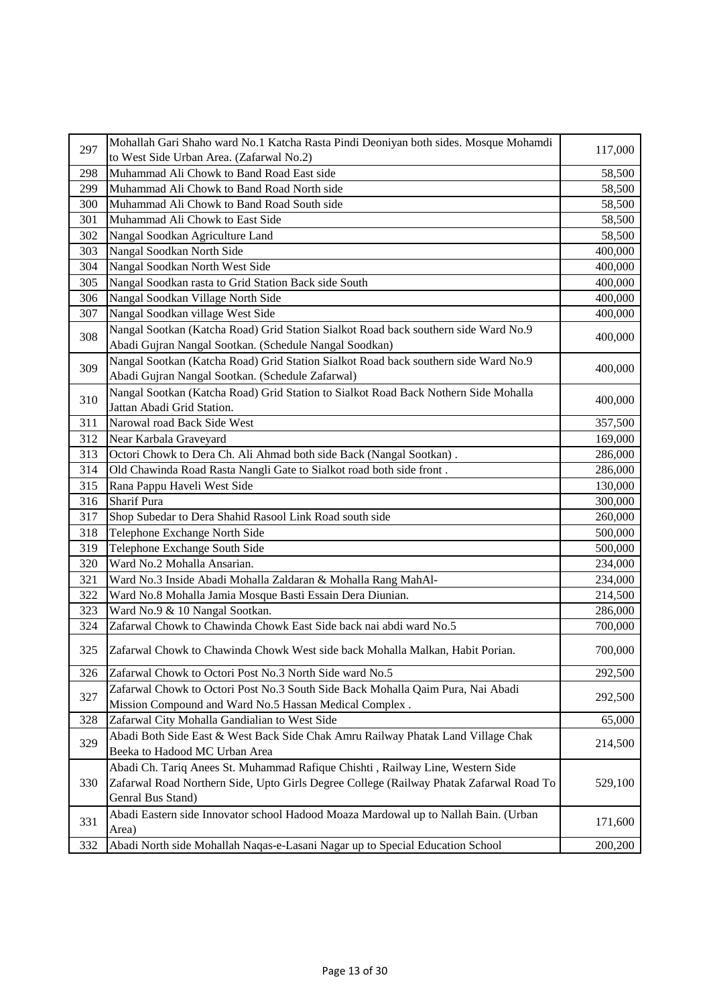| 297 | Mohallah Gari Shaho ward No.1 Katcha Rasta Pindi Deoniyan both sides. Mosque Mohamdi    | 117,000 |
|-----|-----------------------------------------------------------------------------------------|---------|
|     | to West Side Urban Area. (Zafarwal No.2)                                                |         |
| 298 | Muhammad Ali Chowk to Band Road East side                                               | 58,500  |
| 299 | Muhammad Ali Chowk to Band Road North side                                              | 58,500  |
| 300 | Muhammad Ali Chowk to Band Road South side                                              | 58,500  |
| 301 | Muhammad Ali Chowk to East Side                                                         | 58,500  |
| 302 | Nangal Soodkan Agriculture Land                                                         | 58,500  |
| 303 | Nangal Soodkan North Side                                                               | 400,000 |
| 304 | Nangal Soodkan North West Side                                                          | 400,000 |
| 305 | Nangal Soodkan rasta to Grid Station Back side South                                    | 400,000 |
| 306 | Nangal Soodkan Village North Side                                                       | 400,000 |
| 307 | Nangal Soodkan village West Side                                                        | 400,000 |
|     | Nangal Sootkan (Katcha Road) Grid Station Sialkot Road back southern side Ward No.9     |         |
| 308 | Abadi Gujran Nangal Sootkan. (Schedule Nangal Soodkan)                                  | 400,000 |
|     | Nangal Sootkan (Katcha Road) Grid Station Sialkot Road back southern side Ward No.9     |         |
| 309 | Abadi Gujran Nangal Sootkan. (Schedule Zafarwal)                                        | 400,000 |
|     | Nangal Sootkan (Katcha Road) Grid Station to Sialkot Road Back Nothern Side Mohalla     |         |
| 310 | Jattan Abadi Grid Station.                                                              | 400,000 |
| 311 | Narowal road Back Side West                                                             | 357,500 |
| 312 | Near Karbala Graveyard                                                                  | 169,000 |
| 313 | Octori Chowk to Dera Ch. Ali Ahmad both side Back (Nangal Sootkan).                     | 286,000 |
| 314 | Old Chawinda Road Rasta Nangli Gate to Sialkot road both side front.                    | 286,000 |
| 315 | Rana Pappu Haveli West Side                                                             | 130,000 |
| 316 | <b>Sharif Pura</b>                                                                      | 300,000 |
| 317 | Shop Subedar to Dera Shahid Rasool Link Road south side                                 | 260,000 |
| 318 | Telephone Exchange North Side                                                           | 500,000 |
| 319 | Telephone Exchange South Side                                                           | 500,000 |
| 320 | Ward No.2 Mohalla Ansarian.                                                             | 234,000 |
| 321 | Ward No.3 Inside Abadi Mohalla Zaldaran & Mohalla Rang MahAl-                           | 234,000 |
| 322 | Ward No.8 Mohalla Jamia Mosque Basti Essain Dera Diunian.                               | 214,500 |
| 323 | Ward No.9 & 10 Nangal Sootkan.                                                          | 286,000 |
| 324 | Zafarwal Chowk to Chawinda Chowk East Side back nai abdi ward No.5                      | 700,000 |
|     |                                                                                         |         |
| 325 | Zafarwal Chowk to Chawinda Chowk West side back Mohalla Malkan, Habit Porian.           | 700,000 |
| 326 | Zafarwal Chowk to Octori Post No.3 North Side ward No.5                                 | 292,500 |
|     | Zafarwal Chowk to Octori Post No.3 South Side Back Mohalla Qaim Pura, Nai Abadi         |         |
| 327 | Mission Compound and Ward No.5 Hassan Medical Complex.                                  | 292,500 |
| 328 | Zafarwal City Mohalla Gandialian to West Side                                           | 65,000  |
|     | Abadi Both Side East & West Back Side Chak Amru Railway Phatak Land Village Chak        |         |
| 329 | Beeka to Hadood MC Urban Area                                                           | 214,500 |
|     | Abadi Ch. Tariq Anees St. Muhammad Rafique Chishti, Railway Line, Western Side          |         |
| 330 | Zafarwal Road Northern Side, Upto Girls Degree College (Railway Phatak Zafarwal Road To | 529,100 |
|     | Genral Bus Stand)                                                                       |         |
|     | Abadi Eastern side Innovator school Hadood Moaza Mardowal up to Nallah Bain. (Urban     |         |
| 331 | Area)                                                                                   | 171,600 |
| 332 | Abadi North side Mohallah Naqas-e-Lasani Nagar up to Special Education School           | 200,200 |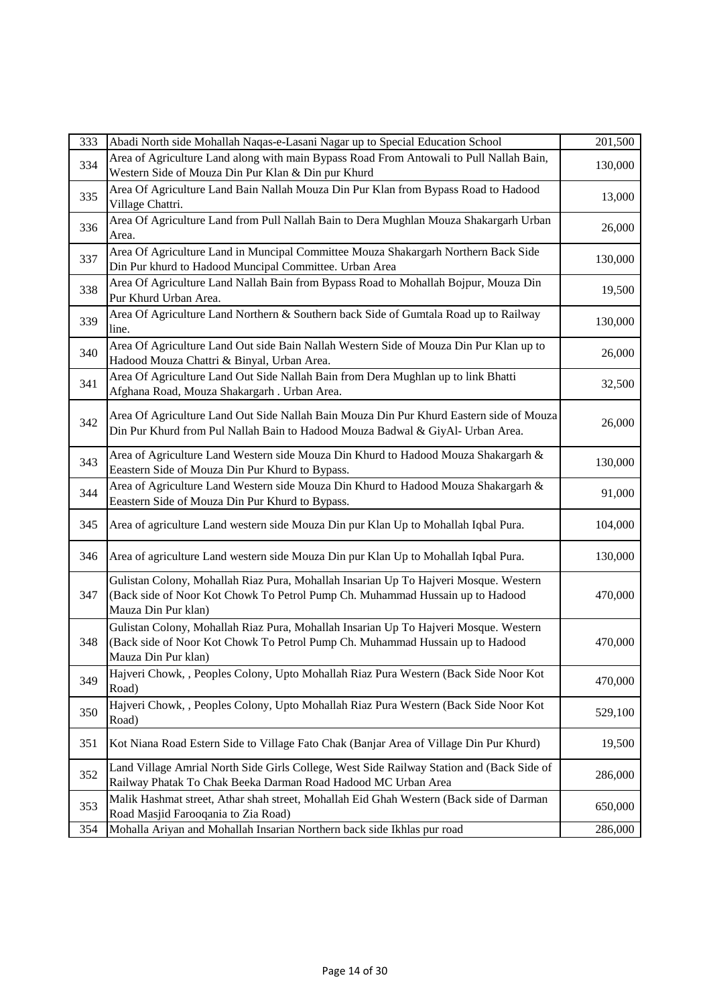| 333 | Abadi North side Mohallah Naqas-e-Lasani Nagar up to Special Education School                                                                                                                | 201,500 |
|-----|----------------------------------------------------------------------------------------------------------------------------------------------------------------------------------------------|---------|
| 334 | Area of Agriculture Land along with main Bypass Road From Antowali to Pull Nallah Bain,<br>Western Side of Mouza Din Pur Klan & Din pur Khurd                                                | 130,000 |
| 335 | Area Of Agriculture Land Bain Nallah Mouza Din Pur Klan from Bypass Road to Hadood<br>Village Chattri.                                                                                       | 13,000  |
| 336 | Area Of Agriculture Land from Pull Nallah Bain to Dera Mughlan Mouza Shakargarh Urban<br>Area.                                                                                               | 26,000  |
| 337 | Area Of Agriculture Land in Muncipal Committee Mouza Shakargarh Northern Back Side<br>Din Pur khurd to Hadood Muncipal Committee. Urban Area                                                 | 130,000 |
| 338 | Area Of Agriculture Land Nallah Bain from Bypass Road to Mohallah Bojpur, Mouza Din<br>Pur Khurd Urban Area.                                                                                 | 19,500  |
| 339 | Area Of Agriculture Land Northern & Southern back Side of Gumtala Road up to Railway<br>line.                                                                                                | 130,000 |
| 340 | Area Of Agriculture Land Out side Bain Nallah Western Side of Mouza Din Pur Klan up to<br>Hadood Mouza Chattri & Binyal, Urban Area.                                                         | 26,000  |
| 341 | Area Of Agriculture Land Out Side Nallah Bain from Dera Mughlan up to link Bhatti<br>Afghana Road, Mouza Shakargarh . Urban Area.                                                            | 32,500  |
| 342 | Area Of Agriculture Land Out Side Nallah Bain Mouza Din Pur Khurd Eastern side of Mouza<br>Din Pur Khurd from Pul Nallah Bain to Hadood Mouza Badwal & GiyAl- Urban Area.                    | 26,000  |
| 343 | Area of Agriculture Land Western side Mouza Din Khurd to Hadood Mouza Shakargarh &<br>Eeastern Side of Mouza Din Pur Khurd to Bypass.                                                        | 130,000 |
| 344 | Area of Agriculture Land Western side Mouza Din Khurd to Hadood Mouza Shakargarh &<br>Eeastern Side of Mouza Din Pur Khurd to Bypass.                                                        | 91,000  |
| 345 | Area of agriculture Land western side Mouza Din pur Klan Up to Mohallah Iqbal Pura.                                                                                                          | 104,000 |
| 346 | Area of agriculture Land western side Mouza Din pur Klan Up to Mohallah Iqbal Pura.                                                                                                          | 130,000 |
| 347 | Gulistan Colony, Mohallah Riaz Pura, Mohallah Insarian Up To Hajveri Mosque. Western<br>(Back side of Noor Kot Chowk To Petrol Pump Ch. Muhammad Hussain up to Hadood<br>Mauza Din Pur klan) | 470,000 |
| 348 | Gulistan Colony, Mohallah Riaz Pura, Mohallah Insarian Up To Hajveri Mosque. Western<br>(Back side of Noor Kot Chowk To Petrol Pump Ch. Muhammad Hussain up to Hadood<br>Mauza Din Pur klan) | 470,000 |
| 349 | Hajveri Chowk, , Peoples Colony, Upto Mohallah Riaz Pura Western (Back Side Noor Kot<br>Road)                                                                                                | 470,000 |
| 350 | Hajveri Chowk, , Peoples Colony, Upto Mohallah Riaz Pura Western (Back Side Noor Kot<br>Road)                                                                                                | 529,100 |
| 351 | Kot Niana Road Estern Side to Village Fato Chak (Banjar Area of Village Din Pur Khurd)                                                                                                       | 19,500  |
| 352 | Land Village Amrial North Side Girls College, West Side Railway Station and (Back Side of<br>Railway Phatak To Chak Beeka Darman Road Hadood MC Urban Area                                   | 286,000 |
| 353 | Malik Hashmat street, Athar shah street, Mohallah Eid Ghah Western (Back side of Darman<br>Road Masjid Farooqania to Zia Road)                                                               | 650,000 |
| 354 | Mohalla Ariyan and Mohallah Insarian Northern back side Ikhlas pur road                                                                                                                      | 286,000 |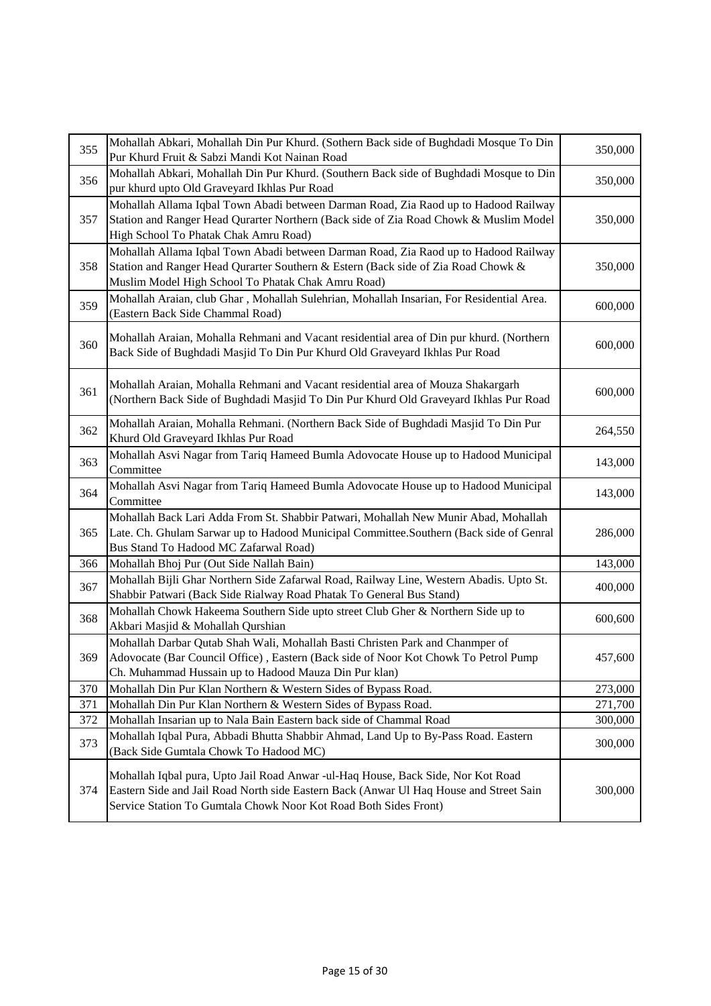| 355 | Mohallah Abkari, Mohallah Din Pur Khurd. (Sothern Back side of Bughdadi Mosque To Din<br>Pur Khurd Fruit & Sabzi Mandi Kot Nainan Road                                                                                                         | 350,000 |
|-----|------------------------------------------------------------------------------------------------------------------------------------------------------------------------------------------------------------------------------------------------|---------|
| 356 | Mohallah Abkari, Mohallah Din Pur Khurd. (Southern Back side of Bughdadi Mosque to Din<br>pur khurd upto Old Graveyard Ikhlas Pur Road                                                                                                         | 350,000 |
| 357 | Mohallah Allama Iqbal Town Abadi between Darman Road, Zia Raod up to Hadood Railway<br>Station and Ranger Head Qurarter Northern (Back side of Zia Road Chowk & Muslim Model<br>High School To Phatak Chak Amru Road)                          | 350,000 |
| 358 | Mohallah Allama Iqbal Town Abadi between Darman Road, Zia Raod up to Hadood Railway<br>Station and Ranger Head Qurarter Southern & Estern (Back side of Zia Road Chowk &<br>Muslim Model High School To Phatak Chak Amru Road)                 | 350,000 |
| 359 | Mohallah Araian, club Ghar, Mohallah Sulehrian, Mohallah Insarian, For Residential Area.<br>(Eastern Back Side Chammal Road)                                                                                                                   | 600,000 |
| 360 | Mohallah Araian, Mohalla Rehmani and Vacant residential area of Din pur khurd. (Northern<br>Back Side of Bughdadi Masjid To Din Pur Khurd Old Graveyard Ikhlas Pur Road                                                                        | 600,000 |
| 361 | Mohallah Araian, Mohalla Rehmani and Vacant residential area of Mouza Shakargarh<br>(Northern Back Side of Bughdadi Masjid To Din Pur Khurd Old Graveyard Ikhlas Pur Road                                                                      | 600,000 |
| 362 | Mohallah Araian, Mohalla Rehmani. (Northern Back Side of Bughdadi Masjid To Din Pur<br>Khurd Old Graveyard Ikhlas Pur Road                                                                                                                     | 264,550 |
| 363 | Mohallah Asvi Nagar from Tariq Hameed Bumla Adovocate House up to Hadood Municipal<br>Committee                                                                                                                                                | 143,000 |
| 364 | Mohallah Asvi Nagar from Tariq Hameed Bumla Adovocate House up to Hadood Municipal<br>Committee                                                                                                                                                | 143,000 |
| 365 | Mohallah Back Lari Adda From St. Shabbir Patwari, Mohallah New Munir Abad, Mohallah<br>Late. Ch. Ghulam Sarwar up to Hadood Municipal Committee.Southern (Back side of Genral<br>Bus Stand To Hadood MC Zafarwal Road)                         | 286,000 |
| 366 | Mohallah Bhoj Pur (Out Side Nallah Bain)                                                                                                                                                                                                       | 143,000 |
| 367 | Mohallah Bijli Ghar Northern Side Zafarwal Road, Railway Line, Western Abadis. Upto St.<br>Shabbir Patwari (Back Side Rialway Road Phatak To General Bus Stand)                                                                                | 400,000 |
| 368 | Mohallah Chowk Hakeema Southern Side upto street Club Gher & Northern Side up to<br>Akbari Masjid & Mohallah Qurshian                                                                                                                          | 600,600 |
| 369 | Mohallah Darbar Qutab Shah Wali, Mohallah Basti Christen Park and Chanmper of<br>Adovocate (Bar Council Office), Eastern (Back side of Noor Kot Chowk To Petrol Pump<br>Ch. Muhammad Hussain up to Hadood Mauza Din Pur klan)                  | 457,600 |
| 370 | Mohallah Din Pur Klan Northern & Western Sides of Bypass Road.                                                                                                                                                                                 | 273,000 |
| 371 | Mohallah Din Pur Klan Northern & Western Sides of Bypass Road.                                                                                                                                                                                 | 271,700 |
| 372 | Mohallah Insarian up to Nala Bain Eastern back side of Chammal Road                                                                                                                                                                            | 300,000 |
| 373 | Mohallah Iqbal Pura, Abbadi Bhutta Shabbir Ahmad, Land Up to By-Pass Road. Eastern<br>(Back Side Gumtala Chowk To Hadood MC)                                                                                                                   | 300,000 |
| 374 | Mohallah Iqbal pura, Upto Jail Road Anwar -ul-Haq House, Back Side, Nor Kot Road<br>Eastern Side and Jail Road North side Eastern Back (Anwar Ul Haq House and Street Sain<br>Service Station To Gumtala Chowk Noor Kot Road Both Sides Front) | 300,000 |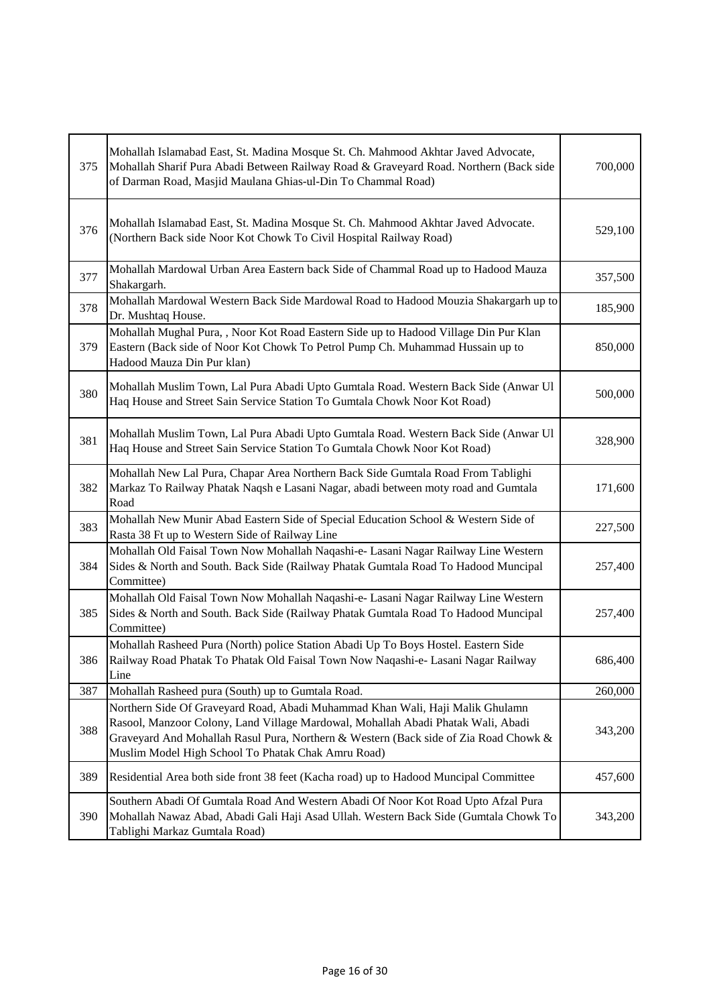| 375 | Mohallah Islamabad East, St. Madina Mosque St. Ch. Mahmood Akhtar Javed Advocate,<br>Mohallah Sharif Pura Abadi Between Railway Road & Graveyard Road. Northern (Back side<br>of Darman Road, Masjid Maulana Ghias-ul-Din To Chammal Road)                                                                      | 700,000 |
|-----|-----------------------------------------------------------------------------------------------------------------------------------------------------------------------------------------------------------------------------------------------------------------------------------------------------------------|---------|
| 376 | Mohallah Islamabad East, St. Madina Mosque St. Ch. Mahmood Akhtar Javed Advocate.<br>(Northern Back side Noor Kot Chowk To Civil Hospital Railway Road)                                                                                                                                                         | 529,100 |
| 377 | Mohallah Mardowal Urban Area Eastern back Side of Chammal Road up to Hadood Mauza<br>Shakargarh.                                                                                                                                                                                                                | 357,500 |
| 378 | Mohallah Mardowal Western Back Side Mardowal Road to Hadood Mouzia Shakargarh up to<br>Dr. Mushtaq House.                                                                                                                                                                                                       | 185,900 |
| 379 | Mohallah Mughal Pura,, Noor Kot Road Eastern Side up to Hadood Village Din Pur Klan<br>Eastern (Back side of Noor Kot Chowk To Petrol Pump Ch. Muhammad Hussain up to<br>Hadood Mauza Din Pur klan)                                                                                                             | 850,000 |
| 380 | Mohallah Muslim Town, Lal Pura Abadi Upto Gumtala Road. Western Back Side (Anwar Ul<br>Haq House and Street Sain Service Station To Gumtala Chowk Noor Kot Road)                                                                                                                                                | 500,000 |
| 381 | Mohallah Muslim Town, Lal Pura Abadi Upto Gumtala Road. Western Back Side (Anwar Ul<br>Haq House and Street Sain Service Station To Gumtala Chowk Noor Kot Road)                                                                                                                                                | 328,900 |
| 382 | Mohallah New Lal Pura, Chapar Area Northern Back Side Gumtala Road From Tablighi<br>Markaz To Railway Phatak Naqsh e Lasani Nagar, abadi between moty road and Gumtala<br>Road                                                                                                                                  | 171,600 |
| 383 | Mohallah New Munir Abad Eastern Side of Special Education School & Western Side of<br>Rasta 38 Ft up to Western Side of Railway Line                                                                                                                                                                            | 227,500 |
| 384 | Mohallah Old Faisal Town Now Mohallah Naqashi-e- Lasani Nagar Railway Line Western<br>Sides & North and South. Back Side (Railway Phatak Gumtala Road To Hadood Muncipal<br>Committee)                                                                                                                          | 257,400 |
| 385 | Mohallah Old Faisal Town Now Mohallah Naqashi-e- Lasani Nagar Railway Line Western<br>Sides & North and South. Back Side (Railway Phatak Gumtala Road To Hadood Muncipal<br>Committee)                                                                                                                          | 257,400 |
| 386 | Mohallah Rasheed Pura (North) police Station Abadi Up To Boys Hostel. Eastern Side<br>Railway Road Phatak To Phatak Old Faisal Town Now Naqashi-e- Lasani Nagar Railway<br>Line                                                                                                                                 | 686,400 |
| 387 | Mohallah Rasheed pura (South) up to Gumtala Road.                                                                                                                                                                                                                                                               | 260,000 |
| 388 | Northern Side Of Graveyard Road, Abadi Muhammad Khan Wali, Haji Malik Ghulamn<br>Rasool, Manzoor Colony, Land Village Mardowal, Mohallah Abadi Phatak Wali, Abadi<br>Graveyard And Mohallah Rasul Pura, Northern & Western (Back side of Zia Road Chowk &<br>Muslim Model High School To Phatak Chak Amru Road) | 343,200 |
| 389 | Residential Area both side front 38 feet (Kacha road) up to Hadood Muncipal Committee                                                                                                                                                                                                                           | 457,600 |
| 390 | Southern Abadi Of Gumtala Road And Western Abadi Of Noor Kot Road Upto Afzal Pura<br>Mohallah Nawaz Abad, Abadi Gali Haji Asad Ullah. Western Back Side (Gumtala Chowk To<br>Tablighi Markaz Gumtala Road)                                                                                                      | 343,200 |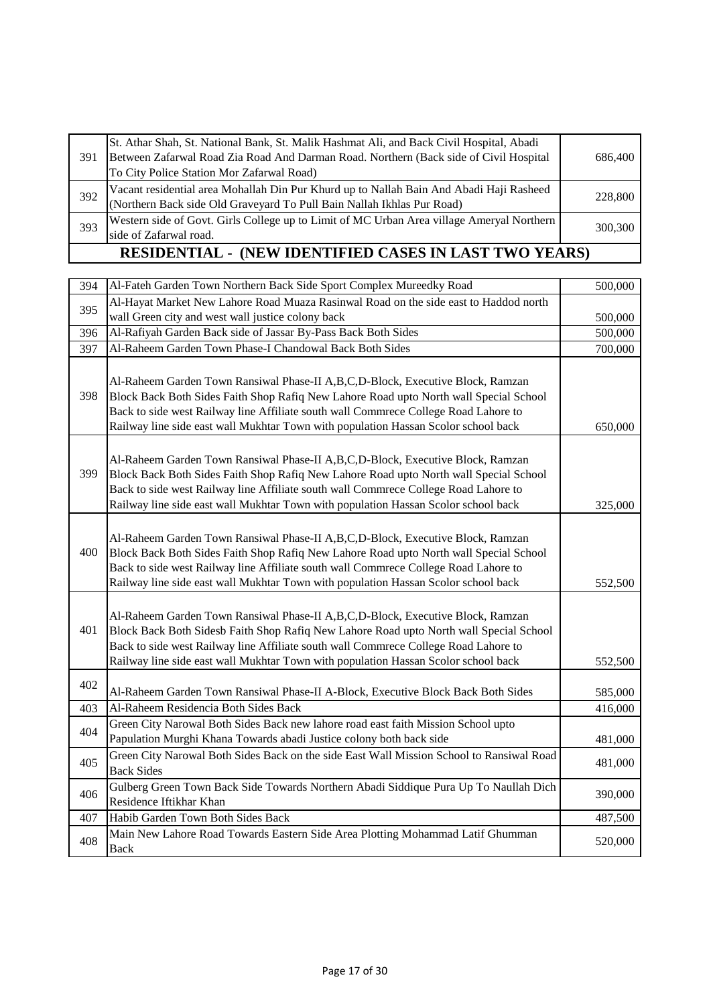| 391 | St. Athar Shah, St. National Bank, St. Malik Hashmat Ali, and Back Civil Hospital, Abadi<br>Between Zafarwal Road Zia Road And Darman Road. Northern (Back side of Civil Hospital<br>To City Police Station Mor Zafarwal Road) | 686,400 |  |
|-----|--------------------------------------------------------------------------------------------------------------------------------------------------------------------------------------------------------------------------------|---------|--|
| 392 | Vacant residential area Mohallah Din Pur Khurd up to Nallah Bain And Abadi Haji Rasheed<br>(Northern Back side Old Graveyard To Pull Bain Nallah Ikhlas Pur Road)                                                              | 228,800 |  |
| 393 | Western side of Govt. Girls College up to Limit of MC Urban Area village Ameryal Northern<br>side of Zafarwal road.                                                                                                            | 300,300 |  |
|     | <b>RESIDENTIAL - (NEW IDENTIFIED CASES IN LAST TWO YEARS)</b>                                                                                                                                                                  |         |  |

| 394 | Al-Fateh Garden Town Northern Back Side Sport Complex Mureedky Road                                                                                                                                                                                                                                                                                     | 500,000 |
|-----|---------------------------------------------------------------------------------------------------------------------------------------------------------------------------------------------------------------------------------------------------------------------------------------------------------------------------------------------------------|---------|
| 395 | Al-Hayat Market New Lahore Road Muaza Rasinwal Road on the side east to Haddod north                                                                                                                                                                                                                                                                    |         |
|     | wall Green city and west wall justice colony back                                                                                                                                                                                                                                                                                                       | 500,000 |
| 396 | Al-Rafiyah Garden Back side of Jassar By-Pass Back Both Sides                                                                                                                                                                                                                                                                                           | 500,000 |
| 397 | Al-Raheem Garden Town Phase-I Chandowal Back Both Sides                                                                                                                                                                                                                                                                                                 | 700,000 |
| 398 | Al-Raheem Garden Town Ransiwal Phase-II A, B, C, D-Block, Executive Block, Ramzan<br>Block Back Both Sides Faith Shop Rafiq New Lahore Road upto North wall Special School<br>Back to side west Railway line Affiliate south wall Commrece College Road Lahore to<br>Railway line side east wall Mukhtar Town with population Hassan Scolor school back | 650,000 |
| 399 | Al-Raheem Garden Town Ransiwal Phase-II A,B,C,D-Block, Executive Block, Ramzan<br>Block Back Both Sides Faith Shop Rafiq New Lahore Road upto North wall Special School<br>Back to side west Railway line Affiliate south wall Commrece College Road Lahore to<br>Railway line side east wall Mukhtar Town with population Hassan Scolor school back    | 325,000 |
| 400 | Al-Raheem Garden Town Ransiwal Phase-II A,B,C,D-Block, Executive Block, Ramzan<br>Block Back Both Sides Faith Shop Rafiq New Lahore Road upto North wall Special School<br>Back to side west Railway line Affiliate south wall Commrece College Road Lahore to<br>Railway line side east wall Mukhtar Town with population Hassan Scolor school back    | 552,500 |
| 401 | Al-Raheem Garden Town Ransiwal Phase-II A,B,C,D-Block, Executive Block, Ramzan<br>Block Back Both Sidesb Faith Shop Rafiq New Lahore Road upto North wall Special School<br>Back to side west Railway line Affiliate south wall Commrece College Road Lahore to<br>Railway line side east wall Mukhtar Town with population Hassan Scolor school back   | 552,500 |
| 402 | Al-Raheem Garden Town Ransiwal Phase-II A-Block, Executive Block Back Both Sides                                                                                                                                                                                                                                                                        | 585,000 |
| 403 | Al-Raheem Residencia Both Sides Back                                                                                                                                                                                                                                                                                                                    | 416,000 |
| 404 | Green City Narowal Both Sides Back new lahore road east faith Mission School upto<br>Papulation Murghi Khana Towards abadi Justice colony both back side                                                                                                                                                                                                | 481,000 |
| 405 | Green City Narowal Both Sides Back on the side East Wall Mission School to Ransiwal Road<br><b>Back Sides</b>                                                                                                                                                                                                                                           | 481,000 |
| 406 | Gulberg Green Town Back Side Towards Northern Abadi Siddique Pura Up To Naullah Dich<br>Residence Iftikhar Khan                                                                                                                                                                                                                                         | 390,000 |
| 407 | Habib Garden Town Both Sides Back                                                                                                                                                                                                                                                                                                                       | 487,500 |
| 408 | Main New Lahore Road Towards Eastern Side Area Plotting Mohammad Latif Ghumman<br><b>Back</b>                                                                                                                                                                                                                                                           | 520,000 |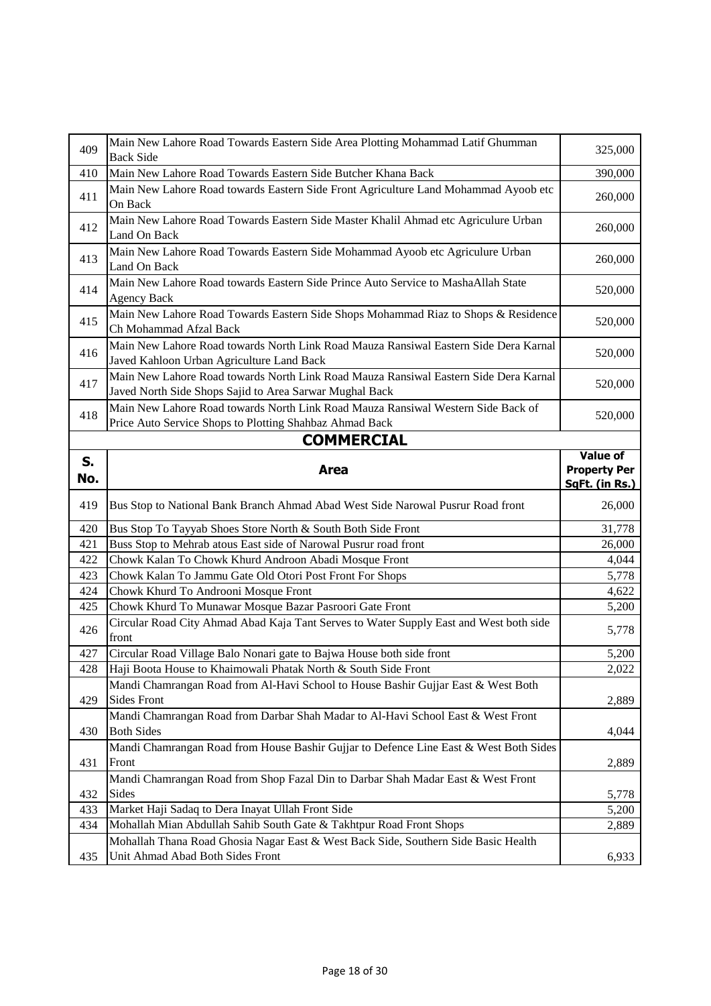| 409 | Main New Lahore Road Towards Eastern Side Area Plotting Mohammad Latif Ghumman<br><b>Back Side</b>                                              | 325,000                               |
|-----|-------------------------------------------------------------------------------------------------------------------------------------------------|---------------------------------------|
| 410 | Main New Lahore Road Towards Eastern Side Butcher Khana Back                                                                                    | 390,000                               |
| 411 | Main New Lahore Road towards Eastern Side Front Agriculture Land Mohammad Ayoob etc<br>On Back                                                  | 260,000                               |
| 412 | Main New Lahore Road Towards Eastern Side Master Khalil Ahmad etc Agriculure Urban<br>Land On Back                                              | 260,000                               |
| 413 | Main New Lahore Road Towards Eastern Side Mohammad Ayoob etc Agriculure Urban<br>Land On Back                                                   | 260,000                               |
| 414 | Main New Lahore Road towards Eastern Side Prince Auto Service to MashaAllah State<br><b>Agency Back</b>                                         | 520,000                               |
| 415 | Main New Lahore Road Towards Eastern Side Shops Mohammad Riaz to Shops & Residence<br>Ch Mohammad Afzal Back                                    | 520,000                               |
| 416 | Main New Lahore Road towards North Link Road Mauza Ransiwal Eastern Side Dera Karnal<br>Javed Kahloon Urban Agriculture Land Back               | 520,000                               |
| 417 | Main New Lahore Road towards North Link Road Mauza Ransiwal Eastern Side Dera Karnal<br>Javed North Side Shops Sajid to Area Sarwar Mughal Back | 520,000                               |
| 418 | Main New Lahore Road towards North Link Road Mauza Ransiwal Western Side Back of<br>Price Auto Service Shops to Plotting Shahbaz Ahmad Back     | 520,000                               |
|     | <b>COMMERCIAL</b>                                                                                                                               |                                       |
| S.  |                                                                                                                                                 | <b>Value of</b>                       |
| No. | <b>Area</b>                                                                                                                                     | <b>Property Per</b><br>SqFt. (in Rs.) |
|     |                                                                                                                                                 |                                       |
| 419 |                                                                                                                                                 |                                       |
|     | Bus Stop to National Bank Branch Ahmad Abad West Side Narowal Pusrur Road front                                                                 | 26,000                                |
| 420 | Bus Stop To Tayyab Shoes Store North & South Both Side Front                                                                                    | 31,778                                |
| 421 | Buss Stop to Mehrab atous East side of Narowal Pusrur road front                                                                                | 26,000                                |
| 422 | Chowk Kalan To Chowk Khurd Androon Abadi Mosque Front                                                                                           | 4,044                                 |
| 423 | Chowk Kalan To Jammu Gate Old Otori Post Front For Shops                                                                                        | 5,778                                 |
| 424 | Chowk Khurd To Androoni Mosque Front                                                                                                            | 4,622                                 |
| 425 | Chowk Khurd To Munawar Mosque Bazar Pasroori Gate Front                                                                                         | 5,200                                 |
| 426 | Circular Road City Ahmad Abad Kaja Tant Serves to Water Supply East and West both side<br>front                                                 | 5,778                                 |
| 427 | Circular Road Village Balo Nonari gate to Bajwa House both side front                                                                           | 5,200                                 |
| 428 | Haji Boota House to Khaimowali Phatak North & South Side Front                                                                                  | 2,022                                 |
| 429 | Mandi Chamrangan Road from Al-Havi School to House Bashir Gujjar East & West Both<br><b>Sides Front</b>                                         | 2,889                                 |
| 430 | Mandi Chamrangan Road from Darbar Shah Madar to Al-Havi School East & West Front<br><b>Both Sides</b>                                           | 4,044                                 |
| 431 | Mandi Chamrangan Road from House Bashir Gujjar to Defence Line East & West Both Sides<br>Front                                                  | 2,889                                 |
| 432 | Mandi Chamrangan Road from Shop Fazal Din to Darbar Shah Madar East & West Front<br>Sides                                                       | 5,778                                 |
| 433 | Market Haji Sadaq to Dera Inayat Ullah Front Side                                                                                               | 5,200                                 |
| 434 | Mohallah Mian Abdullah Sahib South Gate & Takhtpur Road Front Shops                                                                             | 2,889                                 |
|     | Mohallah Thana Road Ghosia Nagar East & West Back Side, Southern Side Basic Health                                                              |                                       |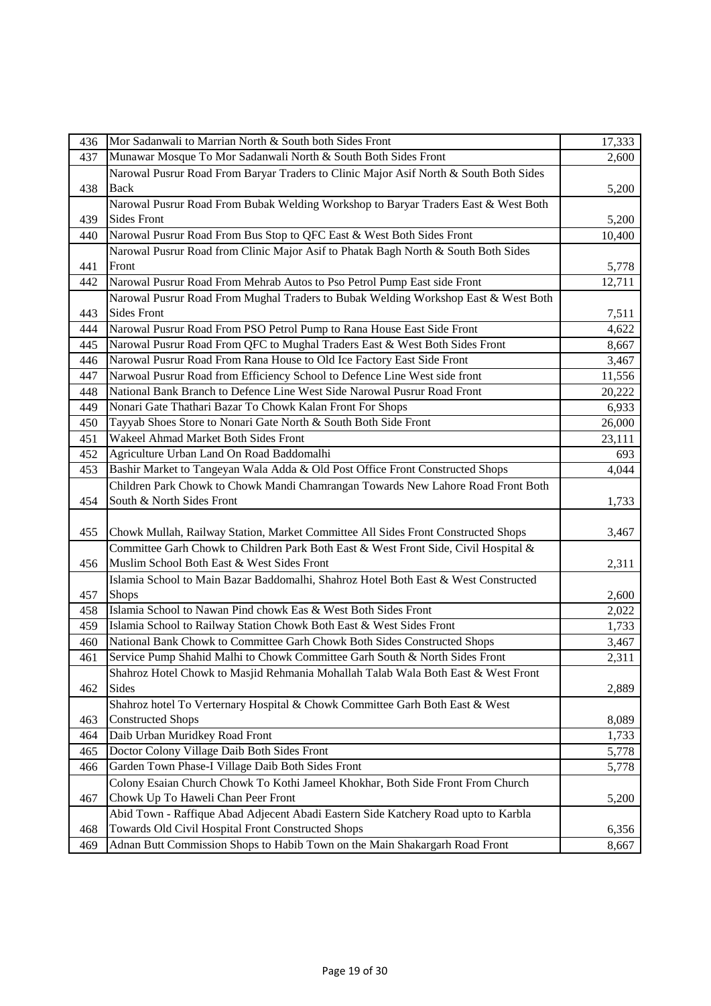| Munawar Mosque To Mor Sadanwali North & South Both Sides Front<br>437<br>Narowal Pusrur Road From Baryar Traders to Clinic Major Asif North & South Both Sides<br>438<br><b>Back</b><br>Narowal Pusrur Road From Bubak Welding Workshop to Baryar Traders East & West Both<br><b>Sides Front</b><br>439<br>Narowal Pusrur Road From Bus Stop to QFC East & West Both Sides Front<br>440 | 2,600<br>5,200<br>5,200<br>10,400<br>5,778<br>12,711 |
|-----------------------------------------------------------------------------------------------------------------------------------------------------------------------------------------------------------------------------------------------------------------------------------------------------------------------------------------------------------------------------------------|------------------------------------------------------|
|                                                                                                                                                                                                                                                                                                                                                                                         |                                                      |
|                                                                                                                                                                                                                                                                                                                                                                                         |                                                      |
|                                                                                                                                                                                                                                                                                                                                                                                         |                                                      |
|                                                                                                                                                                                                                                                                                                                                                                                         |                                                      |
|                                                                                                                                                                                                                                                                                                                                                                                         |                                                      |
|                                                                                                                                                                                                                                                                                                                                                                                         |                                                      |
| Narowal Pusrur Road from Clinic Major Asif to Phatak Bagh North & South Both Sides                                                                                                                                                                                                                                                                                                      |                                                      |
| Front<br>441                                                                                                                                                                                                                                                                                                                                                                            |                                                      |
| Narowal Pusrur Road From Mehrab Autos to Pso Petrol Pump East side Front<br>442                                                                                                                                                                                                                                                                                                         |                                                      |
| Narowal Pusrur Road From Mughal Traders to Bubak Welding Workshop East & West Both                                                                                                                                                                                                                                                                                                      |                                                      |
| <b>Sides Front</b><br>443                                                                                                                                                                                                                                                                                                                                                               | 7,511                                                |
| Narowal Pusrur Road From PSO Petrol Pump to Rana House East Side Front<br>444                                                                                                                                                                                                                                                                                                           | 4,622                                                |
| Narowal Pusrur Road From QFC to Mughal Traders East & West Both Sides Front<br>445                                                                                                                                                                                                                                                                                                      | 8,667                                                |
| Narowal Pusrur Road From Rana House to Old Ice Factory East Side Front<br>446                                                                                                                                                                                                                                                                                                           | 3,467                                                |
| Narwoal Pusrur Road from Efficiency School to Defence Line West side front<br>447                                                                                                                                                                                                                                                                                                       | 11,556                                               |
| National Bank Branch to Defence Line West Side Narowal Pusrur Road Front<br>448                                                                                                                                                                                                                                                                                                         | 20,222                                               |
| Nonari Gate Thathari Bazar To Chowk Kalan Front For Shops<br>449                                                                                                                                                                                                                                                                                                                        | 6,933                                                |
| Tayyab Shoes Store to Nonari Gate North & South Both Side Front<br>450                                                                                                                                                                                                                                                                                                                  | 26,000                                               |
| Wakeel Ahmad Market Both Sides Front<br>451                                                                                                                                                                                                                                                                                                                                             | 23,111                                               |
| Agriculture Urban Land On Road Baddomalhi<br>452                                                                                                                                                                                                                                                                                                                                        | 693                                                  |
| Bashir Market to Tangeyan Wala Adda & Old Post Office Front Constructed Shops<br>453                                                                                                                                                                                                                                                                                                    | 4,044                                                |
| Children Park Chowk to Chowk Mandi Chamrangan Towards New Lahore Road Front Both                                                                                                                                                                                                                                                                                                        |                                                      |
| South & North Sides Front<br>454                                                                                                                                                                                                                                                                                                                                                        | 1,733                                                |
|                                                                                                                                                                                                                                                                                                                                                                                         |                                                      |
| Chowk Mullah, Railway Station, Market Committee All Sides Front Constructed Shops<br>455                                                                                                                                                                                                                                                                                                | 3,467                                                |
| Committee Garh Chowk to Children Park Both East & West Front Side, Civil Hospital &                                                                                                                                                                                                                                                                                                     |                                                      |
| Muslim School Both East & West Sides Front<br>456                                                                                                                                                                                                                                                                                                                                       | 2,311                                                |
| Islamia School to Main Bazar Baddomalhi, Shahroz Hotel Both East & West Constructed                                                                                                                                                                                                                                                                                                     |                                                      |
| <b>Shops</b><br>457                                                                                                                                                                                                                                                                                                                                                                     | 2,600                                                |
| Islamia School to Nawan Pind chowk Eas & West Both Sides Front<br>458                                                                                                                                                                                                                                                                                                                   | 2,022                                                |
| Islamia School to Railway Station Chowk Both East & West Sides Front<br>459                                                                                                                                                                                                                                                                                                             | 1,733                                                |
| National Bank Chowk to Committee Garh Chowk Both Sides Constructed Shops<br>460                                                                                                                                                                                                                                                                                                         | 3,467                                                |
| Service Pump Shahid Malhi to Chowk Committee Garh South & North Sides Front<br>461                                                                                                                                                                                                                                                                                                      | 2,311                                                |
| Shahroz Hotel Chowk to Masjid Rehmania Mohallah Talab Wala Both East & West Front                                                                                                                                                                                                                                                                                                       |                                                      |
| Sides<br>462                                                                                                                                                                                                                                                                                                                                                                            | 2,889                                                |
| Shahroz hotel To Verternary Hospital & Chowk Committee Garh Both East & West                                                                                                                                                                                                                                                                                                            |                                                      |
| <b>Constructed Shops</b><br>463                                                                                                                                                                                                                                                                                                                                                         | 8,089                                                |
| Daib Urban Muridkey Road Front<br>464                                                                                                                                                                                                                                                                                                                                                   | 1,733                                                |
| Doctor Colony Village Daib Both Sides Front<br>465                                                                                                                                                                                                                                                                                                                                      | 5,778                                                |
| Garden Town Phase-I Village Daib Both Sides Front<br>466                                                                                                                                                                                                                                                                                                                                | 5,778                                                |
| Colony Esaian Church Chowk To Kothi Jameel Khokhar, Both Side Front From Church                                                                                                                                                                                                                                                                                                         |                                                      |
| Chowk Up To Haweli Chan Peer Front<br>467                                                                                                                                                                                                                                                                                                                                               | 5,200                                                |
| Abid Town - Raffique Abad Adjecent Abadi Eastern Side Katchery Road upto to Karbla                                                                                                                                                                                                                                                                                                      |                                                      |
| Towards Old Civil Hospital Front Constructed Shops<br>468                                                                                                                                                                                                                                                                                                                               | 6,356                                                |
| Adnan Butt Commission Shops to Habib Town on the Main Shakargarh Road Front<br>469                                                                                                                                                                                                                                                                                                      | 8,667                                                |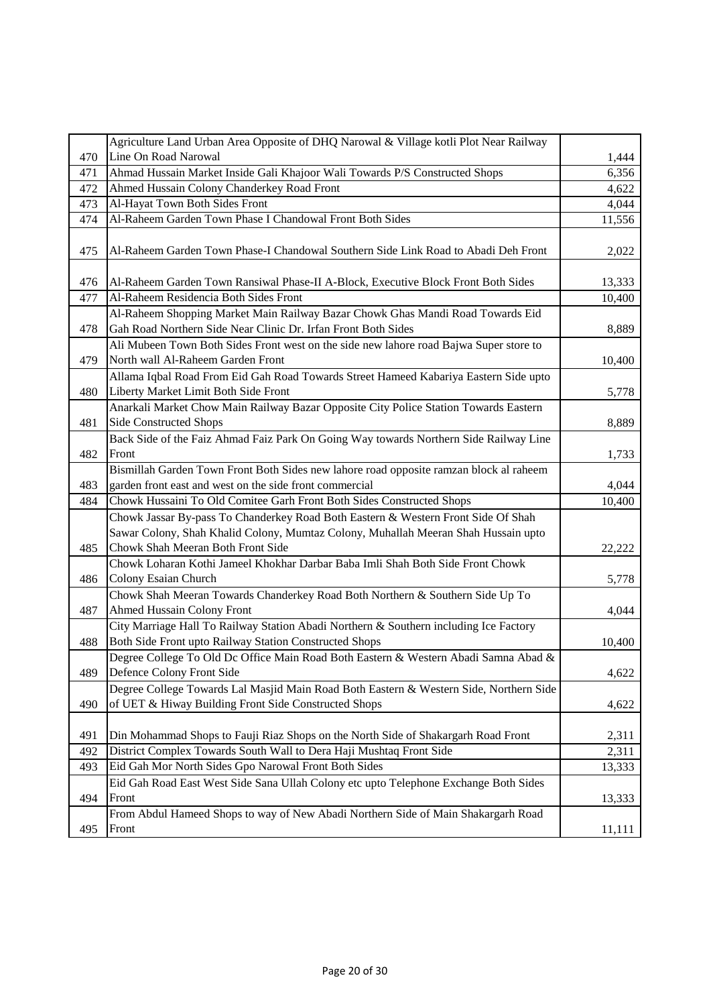|     | Agriculture Land Urban Area Opposite of DHQ Narowal & Village kotli Plot Near Railway  |        |
|-----|----------------------------------------------------------------------------------------|--------|
| 470 | Line On Road Narowal                                                                   | 1,444  |
| 471 | Ahmad Hussain Market Inside Gali Khajoor Wali Towards P/S Constructed Shops            | 6,356  |
| 472 | Ahmed Hussain Colony Chanderkey Road Front                                             | 4,622  |
| 473 | Al-Hayat Town Both Sides Front                                                         | 4,044  |
| 474 | Al-Raheem Garden Town Phase I Chandowal Front Both Sides                               | 11,556 |
|     |                                                                                        |        |
| 475 | Al-Raheem Garden Town Phase-I Chandowal Southern Side Link Road to Abadi Deh Front     | 2,022  |
|     |                                                                                        |        |
| 476 | Al-Raheem Garden Town Ransiwal Phase-II A-Block, Executive Block Front Both Sides      | 13,333 |
| 477 | Al-Raheem Residencia Both Sides Front                                                  | 10,400 |
|     | Al-Raheem Shopping Market Main Railway Bazar Chowk Ghas Mandi Road Towards Eid         |        |
| 478 | Gah Road Northern Side Near Clinic Dr. Irfan Front Both Sides                          | 8,889  |
|     | Ali Mubeen Town Both Sides Front west on the side new lahore road Bajwa Super store to |        |
| 479 | North wall Al-Raheem Garden Front                                                      | 10,400 |
|     | Allama Iqbal Road From Eid Gah Road Towards Street Hameed Kabariya Eastern Side upto   |        |
| 480 | Liberty Market Limit Both Side Front                                                   | 5,778  |
|     | Anarkali Market Chow Main Railway Bazar Opposite City Police Station Towards Eastern   |        |
| 481 | <b>Side Constructed Shops</b>                                                          | 8,889  |
|     | Back Side of the Faiz Ahmad Faiz Park On Going Way towards Northern Side Railway Line  |        |
| 482 | Front                                                                                  | 1,733  |
|     | Bismillah Garden Town Front Both Sides new lahore road opposite ramzan block al raheem |        |
| 483 | garden front east and west on the side front commercial                                | 4,044  |
| 484 | Chowk Hussaini To Old Comitee Garh Front Both Sides Constructed Shops                  | 10,400 |
|     | Chowk Jassar By-pass To Chanderkey Road Both Eastern & Western Front Side Of Shah      |        |
|     | Sawar Colony, Shah Khalid Colony, Mumtaz Colony, Muhallah Meeran Shah Hussain upto     |        |
| 485 | Chowk Shah Meeran Both Front Side                                                      | 22,222 |
|     | Chowk Loharan Kothi Jameel Khokhar Darbar Baba Imli Shah Both Side Front Chowk         |        |
| 486 | Colony Esaian Church                                                                   | 5,778  |
|     | Chowk Shah Meeran Towards Chanderkey Road Both Northern & Southern Side Up To          |        |
| 487 | <b>Ahmed Hussain Colony Front</b>                                                      | 4,044  |
|     | City Marriage Hall To Railway Station Abadi Northern & Southern including Ice Factory  |        |
| 488 | Both Side Front upto Railway Station Constructed Shops                                 | 10,400 |
|     | Degree College To Old Dc Office Main Road Both Eastern & Western Abadi Samna Abad &    |        |
| 489 | Defence Colony Front Side                                                              | 4,622  |
|     | Degree College Towards Lal Masjid Main Road Both Eastern & Western Side, Northern Side |        |
| 490 | of UET & Hiway Building Front Side Constructed Shops                                   | 4,622  |
|     |                                                                                        |        |
| 491 | Din Mohammad Shops to Fauji Riaz Shops on the North Side of Shakargarh Road Front      | 2,311  |
| 492 | District Complex Towards South Wall to Dera Haji Mushtaq Front Side                    | 2,311  |
| 493 | Eid Gah Mor North Sides Gpo Narowal Front Both Sides                                   | 13,333 |
|     | Eid Gah Road East West Side Sana Ullah Colony etc upto Telephone Exchange Both Sides   |        |
| 494 | Front                                                                                  | 13,333 |
|     | From Abdul Hameed Shops to way of New Abadi Northern Side of Main Shakargarh Road      |        |
| 495 | Front                                                                                  | 11,111 |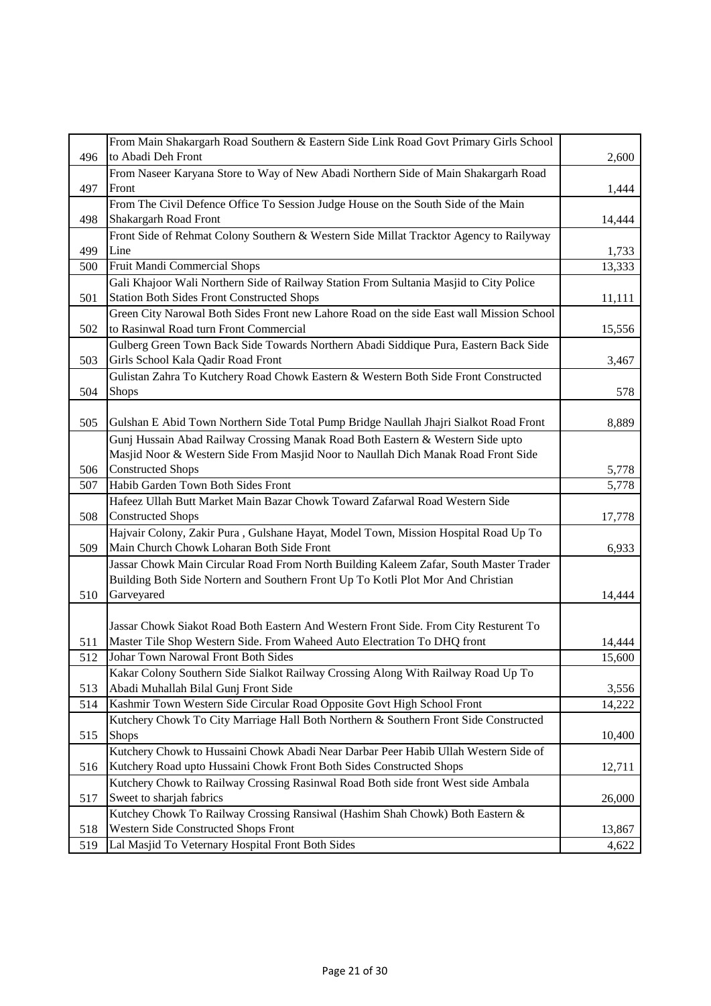|     | From Main Shakargarh Road Southern & Eastern Side Link Road Govt Primary Girls School    |                |
|-----|------------------------------------------------------------------------------------------|----------------|
| 496 | to Abadi Deh Front                                                                       | 2,600          |
|     | From Naseer Karyana Store to Way of New Abadi Northern Side of Main Shakargarh Road      |                |
| 497 | Front                                                                                    | 1,444          |
|     | From The Civil Defence Office To Session Judge House on the South Side of the Main       |                |
| 498 | Shakargarh Road Front                                                                    | 14,444         |
|     | Front Side of Rehmat Colony Southern & Western Side Millat Tracktor Agency to Railyway   |                |
| 499 | Line                                                                                     | 1,733          |
| 500 | Fruit Mandi Commercial Shops                                                             | 13,333         |
|     | Gali Khajoor Wali Northern Side of Railway Station From Sultania Masjid to City Police   |                |
| 501 | <b>Station Both Sides Front Constructed Shops</b>                                        | 11,111         |
|     | Green City Narowal Both Sides Front new Lahore Road on the side East wall Mission School |                |
| 502 | to Rasinwal Road turn Front Commercial                                                   | 15,556         |
|     | Gulberg Green Town Back Side Towards Northern Abadi Siddique Pura, Eastern Back Side     |                |
| 503 | Girls School Kala Qadir Road Front                                                       | 3,467          |
|     | Gulistan Zahra To Kutchery Road Chowk Eastern & Western Both Side Front Constructed      |                |
| 504 | <b>Shops</b>                                                                             | 578            |
|     |                                                                                          |                |
| 505 | Gulshan E Abid Town Northern Side Total Pump Bridge Naullah Jhajri Sialkot Road Front    | 8,889          |
|     | Gunj Hussain Abad Railway Crossing Manak Road Both Eastern & Western Side upto           |                |
|     | Masjid Noor & Western Side From Masjid Noor to Naullah Dich Manak Road Front Side        |                |
| 506 | <b>Constructed Shops</b>                                                                 |                |
| 507 | Habib Garden Town Both Sides Front                                                       | 5,778<br>5,778 |
|     |                                                                                          |                |
|     | Hafeez Ullah Butt Market Main Bazar Chowk Toward Zafarwal Road Western Side              |                |
| 508 | <b>Constructed Shops</b>                                                                 | 17,778         |
|     | Hajvair Colony, Zakir Pura, Gulshane Hayat, Model Town, Mission Hospital Road Up To      |                |
| 509 | Main Church Chowk Loharan Both Side Front                                                | 6,933          |
|     | Jassar Chowk Main Circular Road From North Building Kaleem Zafar, South Master Trader    |                |
|     | Building Both Side Nortern and Southern Front Up To Kotli Plot Mor And Christian         |                |
| 510 | Garveyared                                                                               | 14,444         |
|     |                                                                                          |                |
|     | Jassar Chowk Siakot Road Both Eastern And Western Front Side. From City Resturent To     |                |
| 511 | Master Tile Shop Western Side. From Waheed Auto Electration To DHQ front                 | 14,444         |
| 512 | Johar Town Narowal Front Both Sides                                                      | 15,600         |
|     | Kakar Colony Southern Side Sialkot Railway Crossing Along With Railway Road Up To        |                |
| 513 | Abadi Muhallah Bilal Gunj Front Side                                                     | 3,556          |
| 514 | Kashmir Town Western Side Circular Road Opposite Govt High School Front                  | 14,222         |
|     | Kutchery Chowk To City Marriage Hall Both Northern & Southern Front Side Constructed     |                |
| 515 | <b>Shops</b>                                                                             | 10,400         |
|     | Kutchery Chowk to Hussaini Chowk Abadi Near Darbar Peer Habib Ullah Western Side of      |                |
| 516 | Kutchery Road upto Hussaini Chowk Front Both Sides Constructed Shops                     | 12,711         |
|     | Kutchery Chowk to Railway Crossing Rasinwal Road Both side front West side Ambala        |                |
| 517 | Sweet to sharjah fabrics                                                                 | 26,000         |
|     | Kutchey Chowk To Railway Crossing Ransiwal (Hashim Shah Chowk) Both Eastern &            |                |
| 518 | <b>Western Side Constructed Shops Front</b>                                              | 13,867         |
| 519 | Lal Masjid To Veternary Hospital Front Both Sides                                        | 4,622          |
|     |                                                                                          |                |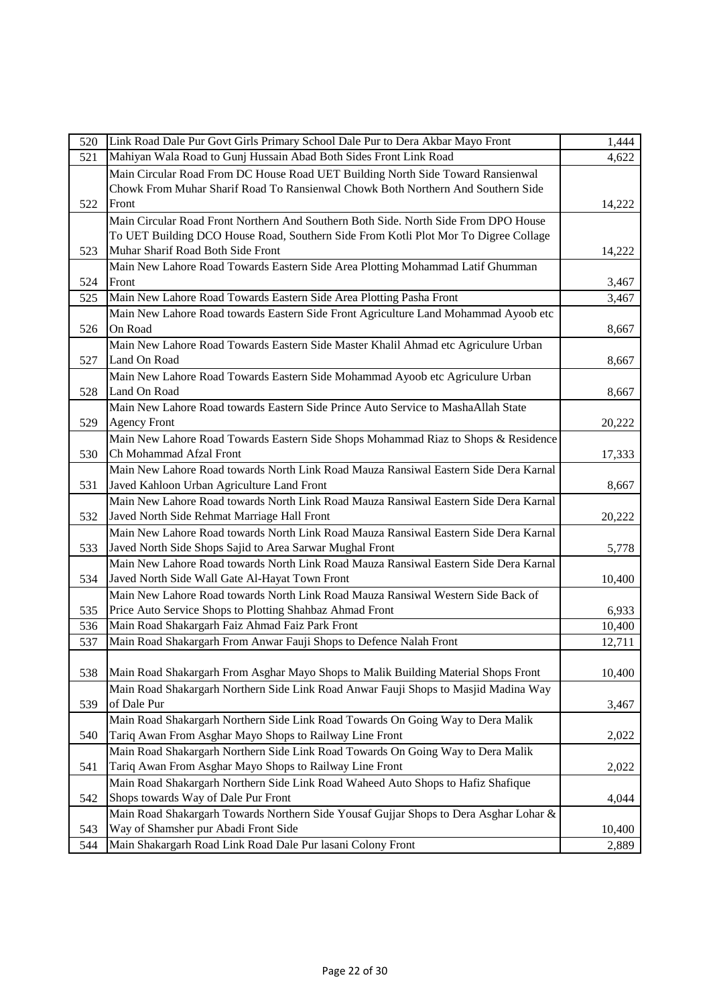| 520 | Link Road Dale Pur Govt Girls Primary School Dale Pur to Dera Akbar Mayo Front        | 1,444  |
|-----|---------------------------------------------------------------------------------------|--------|
| 521 | Mahiyan Wala Road to Gunj Hussain Abad Both Sides Front Link Road                     | 4,622  |
|     | Main Circular Road From DC House Road UET Building North Side Toward Ransienwal       |        |
|     | Chowk From Muhar Sharif Road To Ransienwal Chowk Both Northern And Southern Side      |        |
| 522 | Front                                                                                 | 14,222 |
|     | Main Circular Road Front Northern And Southern Both Side. North Side From DPO House   |        |
|     | To UET Building DCO House Road, Southern Side From Kotli Plot Mor To Digree Collage   |        |
| 523 | Muhar Sharif Road Both Side Front                                                     | 14,222 |
|     | Main New Lahore Road Towards Eastern Side Area Plotting Mohammad Latif Ghumman        |        |
| 524 | Front                                                                                 | 3,467  |
| 525 | Main New Lahore Road Towards Eastern Side Area Plotting Pasha Front                   | 3,467  |
|     | Main New Lahore Road towards Eastern Side Front Agriculture Land Mohammad Ayoob etc   |        |
| 526 | On Road                                                                               | 8,667  |
|     | Main New Lahore Road Towards Eastern Side Master Khalil Ahmad etc Agriculure Urban    |        |
| 527 | Land On Road                                                                          | 8,667  |
|     | Main New Lahore Road Towards Eastern Side Mohammad Ayoob etc Agriculure Urban         |        |
| 528 | Land On Road                                                                          | 8,667  |
|     | Main New Lahore Road towards Eastern Side Prince Auto Service to MashaAllah State     |        |
| 529 | <b>Agency Front</b>                                                                   | 20,222 |
|     | Main New Lahore Road Towards Eastern Side Shops Mohammad Riaz to Shops & Residence    |        |
| 530 | Ch Mohammad Afzal Front                                                               | 17,333 |
|     | Main New Lahore Road towards North Link Road Mauza Ransiwal Eastern Side Dera Karnal  |        |
| 531 | Javed Kahloon Urban Agriculture Land Front                                            | 8,667  |
|     | Main New Lahore Road towards North Link Road Mauza Ransiwal Eastern Side Dera Karnal  |        |
| 532 | Javed North Side Rehmat Marriage Hall Front                                           | 20,222 |
|     | Main New Lahore Road towards North Link Road Mauza Ransiwal Eastern Side Dera Karnal  |        |
| 533 | Javed North Side Shops Sajid to Area Sarwar Mughal Front                              | 5,778  |
|     | Main New Lahore Road towards North Link Road Mauza Ransiwal Eastern Side Dera Karnal  |        |
| 534 | Javed North Side Wall Gate Al-Hayat Town Front                                        | 10,400 |
|     | Main New Lahore Road towards North Link Road Mauza Ransiwal Western Side Back of      |        |
| 535 | Price Auto Service Shops to Plotting Shahbaz Ahmad Front                              | 6,933  |
| 536 | Main Road Shakargarh Faiz Ahmad Faiz Park Front                                       | 10,400 |
| 537 | Main Road Shakargarh From Anwar Fauji Shops to Defence Nalah Front                    | 12,711 |
|     |                                                                                       |        |
| 538 | Main Road Shakargarh From Asghar Mayo Shops to Malik Building Material Shops Front    | 10,400 |
|     | Main Road Shakargarh Northern Side Link Road Anwar Fauji Shops to Masjid Madina Way   |        |
| 539 | of Dale Pur                                                                           | 3,467  |
|     | Main Road Shakargarh Northern Side Link Road Towards On Going Way to Dera Malik       |        |
| 540 | Tariq Awan From Asghar Mayo Shops to Railway Line Front                               | 2,022  |
|     | Main Road Shakargarh Northern Side Link Road Towards On Going Way to Dera Malik       |        |
| 541 | Tariq Awan From Asghar Mayo Shops to Railway Line Front                               | 2,022  |
|     | Main Road Shakargarh Northern Side Link Road Waheed Auto Shops to Hafiz Shafique      |        |
| 542 | Shops towards Way of Dale Pur Front                                                   | 4,044  |
|     | Main Road Shakargarh Towards Northern Side Yousaf Gujjar Shops to Dera Asghar Lohar & |        |
| 543 | Way of Shamsher pur Abadi Front Side                                                  | 10,400 |
| 544 | Main Shakargarh Road Link Road Dale Pur lasani Colony Front                           | 2,889  |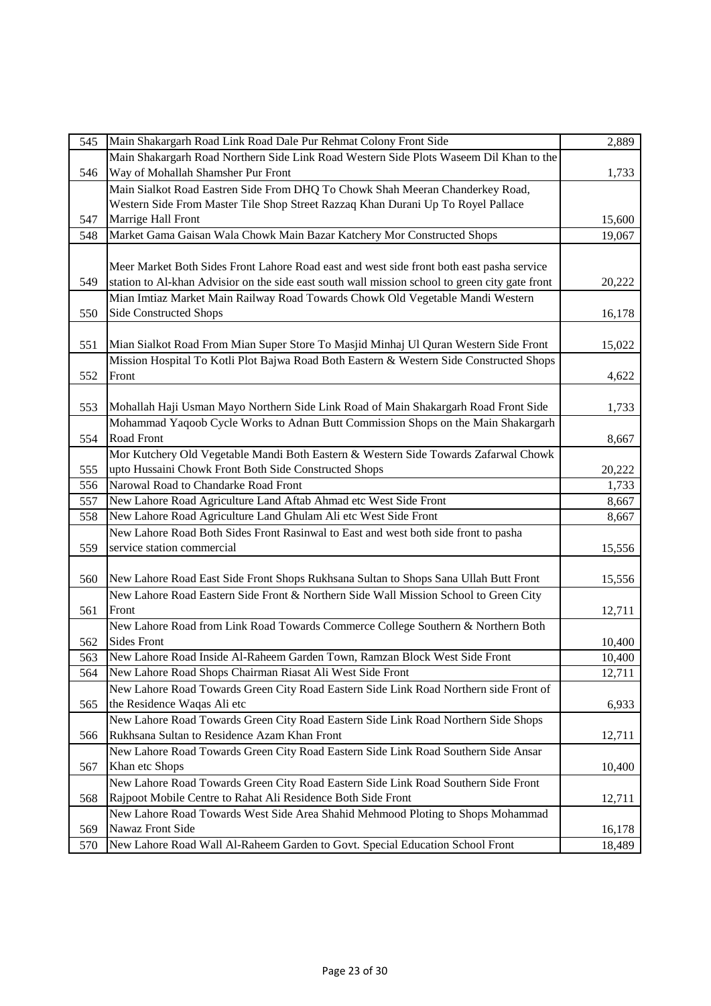| 545 | Main Shakargarh Road Link Road Dale Pur Rehmat Colony Front Side                                | 2,889  |
|-----|-------------------------------------------------------------------------------------------------|--------|
|     | Main Shakargarh Road Northern Side Link Road Western Side Plots Waseem Dil Khan to the          |        |
| 546 | Way of Mohallah Shamsher Pur Front                                                              | 1,733  |
|     | Main Sialkot Road Eastren Side From DHQ To Chowk Shah Meeran Chanderkey Road,                   |        |
|     | Western Side From Master Tile Shop Street Razzaq Khan Durani Up To Royel Pallace                |        |
| 547 | Marrige Hall Front                                                                              | 15,600 |
| 548 | Market Gama Gaisan Wala Chowk Main Bazar Katchery Mor Constructed Shops                         | 19,067 |
|     |                                                                                                 |        |
|     | Meer Market Both Sides Front Lahore Road east and west side front both east pasha service       |        |
| 549 | station to Al-khan Advisior on the side east south wall mission school to green city gate front | 20,222 |
|     | Mian Imtiaz Market Main Railway Road Towards Chowk Old Vegetable Mandi Western                  |        |
| 550 | <b>Side Constructed Shops</b>                                                                   | 16,178 |
|     |                                                                                                 |        |
| 551 | Mian Sialkot Road From Mian Super Store To Masjid Minhaj Ul Quran Western Side Front            | 15,022 |
|     | Mission Hospital To Kotli Plot Bajwa Road Both Eastern & Western Side Constructed Shops         |        |
| 552 | Front                                                                                           | 4,622  |
|     |                                                                                                 |        |
| 553 | Mohallah Haji Usman Mayo Northern Side Link Road of Main Shakargarh Road Front Side             | 1,733  |
|     | Mohammad Yaqoob Cycle Works to Adnan Butt Commission Shops on the Main Shakargarh               |        |
| 554 | Road Front                                                                                      | 8,667  |
|     | Mor Kutchery Old Vegetable Mandi Both Eastern & Western Side Towards Zafarwal Chowk             |        |
| 555 | upto Hussaini Chowk Front Both Side Constructed Shops                                           | 20,222 |
| 556 | Narowal Road to Chandarke Road Front                                                            | 1,733  |
| 557 | New Lahore Road Agriculture Land Aftab Ahmad etc West Side Front                                | 8,667  |
| 558 | New Lahore Road Agriculture Land Ghulam Ali etc West Side Front                                 | 8,667  |
|     | New Lahore Road Both Sides Front Rasinwal to East and west both side front to pasha             |        |
| 559 | service station commercial                                                                      | 15,556 |
|     |                                                                                                 |        |
| 560 | New Lahore Road East Side Front Shops Rukhsana Sultan to Shops Sana Ullah Butt Front            | 15,556 |
|     | New Lahore Road Eastern Side Front & Northern Side Wall Mission School to Green City            |        |
| 561 | Front                                                                                           | 12,711 |
|     | New Lahore Road from Link Road Towards Commerce College Southern & Northern Both                |        |
| 562 | <b>Sides Front</b>                                                                              | 10,400 |
| 563 | New Lahore Road Inside Al-Raheem Garden Town, Ramzan Block West Side Front                      | 10,400 |
| 564 | New Lahore Road Shops Chairman Riasat Ali West Side Front                                       | 12,711 |
|     | New Lahore Road Towards Green City Road Eastern Side Link Road Northern side Front of           |        |
| 565 | the Residence Waqas Ali etc                                                                     | 6,933  |
|     | New Lahore Road Towards Green City Road Eastern Side Link Road Northern Side Shops              |        |
| 566 | Rukhsana Sultan to Residence Azam Khan Front                                                    | 12,711 |
|     | New Lahore Road Towards Green City Road Eastern Side Link Road Southern Side Ansar              |        |
| 567 | Khan etc Shops                                                                                  | 10,400 |
|     | New Lahore Road Towards Green City Road Eastern Side Link Road Southern Side Front              |        |
| 568 | Rajpoot Mobile Centre to Rahat Ali Residence Both Side Front                                    | 12,711 |
|     | New Lahore Road Towards West Side Area Shahid Mehmood Ploting to Shops Mohammad                 |        |
| 569 | Nawaz Front Side                                                                                | 16,178 |
| 570 | New Lahore Road Wall Al-Raheem Garden to Govt. Special Education School Front                   | 18,489 |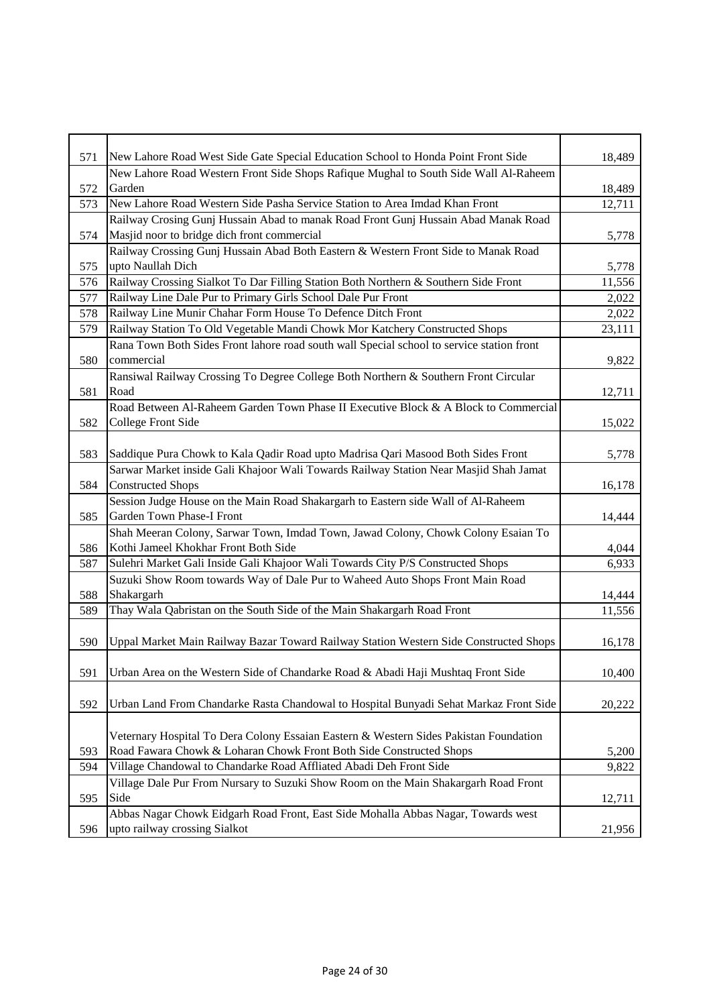| 571 | New Lahore Road West Side Gate Special Education School to Honda Point Front Side         | 18,489 |
|-----|-------------------------------------------------------------------------------------------|--------|
|     | New Lahore Road Western Front Side Shops Rafique Mughal to South Side Wall Al-Raheem      |        |
| 572 | Garden                                                                                    | 18,489 |
| 573 | New Lahore Road Western Side Pasha Service Station to Area Imdad Khan Front               | 12,711 |
|     | Railway Crosing Gunj Hussain Abad to manak Road Front Gunj Hussain Abad Manak Road        |        |
| 574 | Masjid noor to bridge dich front commercial                                               | 5,778  |
|     | Railway Crossing Gunj Hussain Abad Both Eastern & Western Front Side to Manak Road        |        |
| 575 | upto Naullah Dich                                                                         | 5,778  |
| 576 | Railway Crossing Sialkot To Dar Filling Station Both Northern & Southern Side Front       | 11,556 |
| 577 | Railway Line Dale Pur to Primary Girls School Dale Pur Front                              | 2,022  |
| 578 | Railway Line Munir Chahar Form House To Defence Ditch Front                               | 2,022  |
| 579 | Railway Station To Old Vegetable Mandi Chowk Mor Katchery Constructed Shops               | 23,111 |
|     | Rana Town Both Sides Front lahore road south wall Special school to service station front |        |
| 580 | commercial                                                                                | 9,822  |
|     | Ransiwal Railway Crossing To Degree College Both Northern & Southern Front Circular       |        |
| 581 | Road                                                                                      | 12,711 |
|     | Road Between Al-Raheem Garden Town Phase II Executive Block & A Block to Commercial       |        |
| 582 | College Front Side                                                                        | 15,022 |
|     |                                                                                           |        |
| 583 | Saddique Pura Chowk to Kala Qadir Road upto Madrisa Qari Masood Both Sides Front          | 5,778  |
|     | Sarwar Market inside Gali Khajoor Wali Towards Railway Station Near Masjid Shah Jamat     |        |
| 584 | <b>Constructed Shops</b>                                                                  | 16,178 |
|     | Session Judge House on the Main Road Shakargarh to Eastern side Wall of Al-Raheem         |        |
| 585 | Garden Town Phase-I Front                                                                 | 14,444 |
|     | Shah Meeran Colony, Sarwar Town, Imdad Town, Jawad Colony, Chowk Colony Esaian To         |        |
| 586 | Kothi Jameel Khokhar Front Both Side                                                      | 4,044  |
| 587 | Sulehri Market Gali Inside Gali Khajoor Wali Towards City P/S Constructed Shops           | 6,933  |
|     | Suzuki Show Room towards Way of Dale Pur to Waheed Auto Shops Front Main Road             |        |
| 588 | Shakargarh                                                                                | 14,444 |
| 589 | Thay Wala Qabristan on the South Side of the Main Shakargarh Road Front                   | 11,556 |
|     |                                                                                           |        |
| 590 | Uppal Market Main Railway Bazar Toward Railway Station Western Side Constructed Shops     | 16,178 |
|     |                                                                                           |        |
| 591 | Urban Area on the Western Side of Chandarke Road & Abadi Haji Mushtaq Front Side          | 10,400 |
|     |                                                                                           |        |
| 592 | Urban Land From Chandarke Rasta Chandowal to Hospital Bunyadi Sehat Markaz Front Side     | 20,222 |
|     |                                                                                           |        |
|     | Veternary Hospital To Dera Colony Essaian Eastern & Western Sides Pakistan Foundation     |        |
| 593 | Road Fawara Chowk & Loharan Chowk Front Both Side Constructed Shops                       | 5,200  |
| 594 | Village Chandowal to Chandarke Road Affliated Abadi Deh Front Side                        | 9,822  |
|     | Village Dale Pur From Nursary to Suzuki Show Room on the Main Shakargarh Road Front       |        |
| 595 | Side                                                                                      | 12,711 |
|     | Abbas Nagar Chowk Eidgarh Road Front, East Side Mohalla Abbas Nagar, Towards west         |        |
| 596 | upto railway crossing Sialkot                                                             | 21,956 |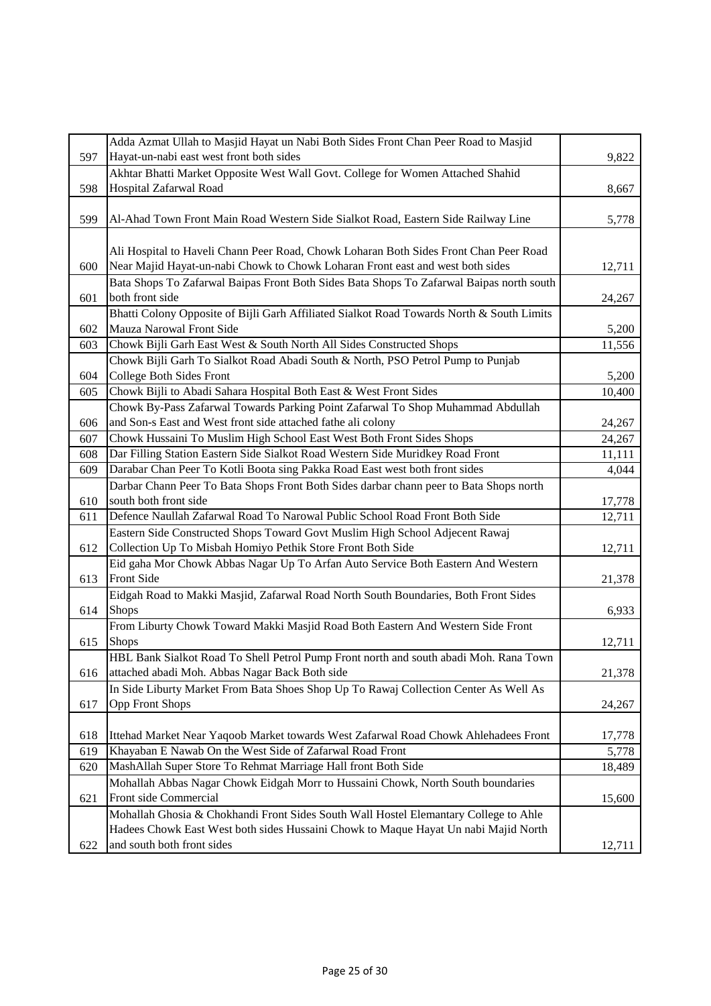|            | Adda Azmat Ullah to Masjid Hayat un Nabi Both Sides Front Chan Peer Road to Masjid        |                 |
|------------|-------------------------------------------------------------------------------------------|-----------------|
| 597        | Hayat-un-nabi east west front both sides                                                  | 9,822           |
|            | Akhtar Bhatti Market Opposite West Wall Govt. College for Women Attached Shahid           |                 |
| 598        | Hospital Zafarwal Road                                                                    | 8,667           |
|            |                                                                                           |                 |
| 599        | Al-Ahad Town Front Main Road Western Side Sialkot Road, Eastern Side Railway Line         | 5,778           |
|            |                                                                                           |                 |
|            | Ali Hospital to Haveli Chann Peer Road, Chowk Loharan Both Sides Front Chan Peer Road     |                 |
| 600        | Near Majid Hayat-un-nabi Chowk to Chowk Loharan Front east and west both sides            | 12,711          |
|            | Bata Shops To Zafarwal Baipas Front Both Sides Bata Shops To Zafarwal Baipas north south  |                 |
|            | both front side                                                                           |                 |
| 601        |                                                                                           | 24,267          |
|            | Bhatti Colony Opposite of Bijli Garh Affiliated Sialkot Road Towards North & South Limits |                 |
| 602        | Mauza Narowal Front Side                                                                  | 5,200           |
| 603        | Chowk Bijli Garh East West & South North All Sides Constructed Shops                      | 11,556          |
|            | Chowk Bijli Garh To Sialkot Road Abadi South & North, PSO Petrol Pump to Punjab           |                 |
| 604        | College Both Sides Front                                                                  | 5,200           |
| 605        | Chowk Bijli to Abadi Sahara Hospital Both East & West Front Sides                         | 10,400          |
|            | Chowk By-Pass Zafarwal Towards Parking Point Zafarwal To Shop Muhammad Abdullah           |                 |
| 606        | and Son-s East and West front side attached fathe ali colony                              | 24,267          |
| 607        | Chowk Hussaini To Muslim High School East West Both Front Sides Shops                     | 24,267          |
| 608        | Dar Filling Station Eastern Side Sialkot Road Western Side Muridkey Road Front            | 11,111          |
| 609        | Darabar Chan Peer To Kotli Boota sing Pakka Road East west both front sides               | 4,044           |
|            | Darbar Chann Peer To Bata Shops Front Both Sides darbar chann peer to Bata Shops north    |                 |
| 610        | south both front side                                                                     | 17,778          |
| 611        | Defence Naullah Zafarwal Road To Narowal Public School Road Front Both Side               | 12,711          |
|            | Eastern Side Constructed Shops Toward Govt Muslim High School Adjecent Rawaj              |                 |
| 612        | Collection Up To Misbah Homiyo Pethik Store Front Both Side                               | 12,711          |
|            | Eid gaha Mor Chowk Abbas Nagar Up To Arfan Auto Service Both Eastern And Western          |                 |
| 613        | Front Side                                                                                | 21,378          |
|            | Eidgah Road to Makki Masjid, Zafarwal Road North South Boundaries, Both Front Sides       |                 |
| 614        | Shops                                                                                     | 6,933           |
|            | From Liburty Chowk Toward Makki Masjid Road Both Eastern And Western Side Front           |                 |
| 615        | <b>Shops</b>                                                                              | 12,711          |
|            | HBL Bank Sialkot Road To Shell Petrol Pump Front north and south abadi Moh. Rana Town     |                 |
| 616        | attached abadi Moh. Abbas Nagar Back Both side                                            | 21,378          |
|            | In Side Liburty Market From Bata Shoes Shop Up To Rawaj Collection Center As Well As      |                 |
| 617        | <b>Opp Front Shops</b>                                                                    | 24,267          |
|            |                                                                                           |                 |
|            | Ittehad Market Near Yaqoob Market towards West Zafarwal Road Chowk Ahlehadees Front       |                 |
| 618<br>619 | Khayaban E Nawab On the West Side of Zafarwal Road Front                                  | 17,778<br>5,778 |
| 620        | MashAllah Super Store To Rehmat Marriage Hall front Both Side                             | 18,489          |
|            |                                                                                           |                 |
|            | Mohallah Abbas Nagar Chowk Eidgah Morr to Hussaini Chowk, North South boundaries          |                 |
| 621        | Front side Commercial                                                                     | 15,600          |
|            | Mohallah Ghosia & Chokhandi Front Sides South Wall Hostel Elemantary College to Ahle      |                 |
|            | Hadees Chowk East West both sides Hussaini Chowk to Maque Hayat Un nabi Majid North       |                 |
| 622        | and south both front sides                                                                | 12,711          |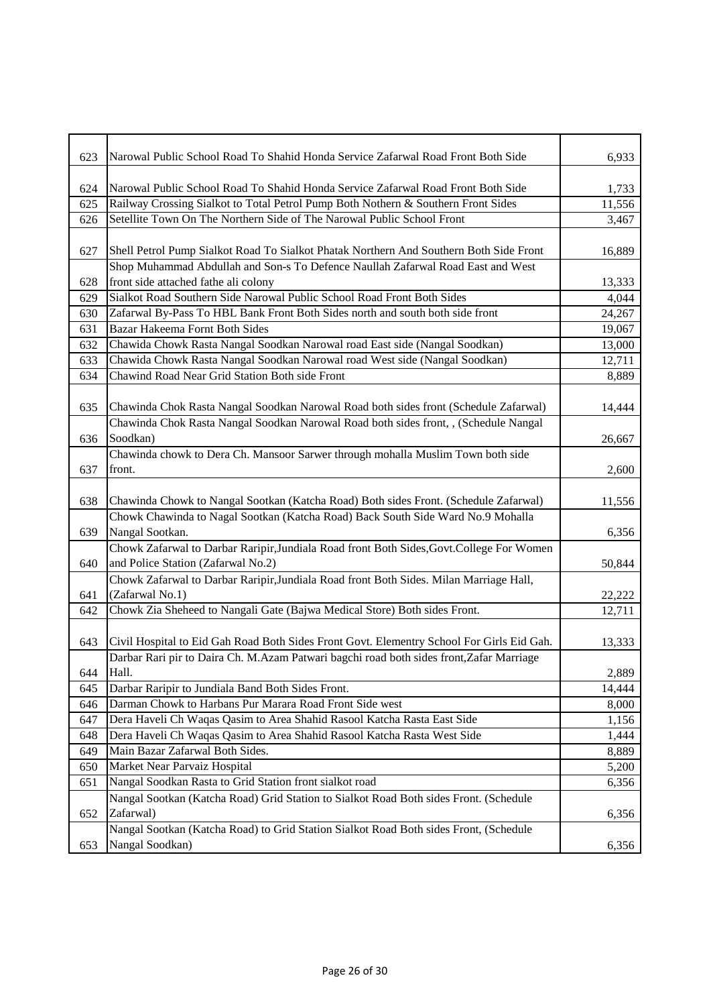| 623 | Narowal Public School Road To Shahid Honda Service Zafarwal Road Front Both Side          | 6,933  |
|-----|-------------------------------------------------------------------------------------------|--------|
|     |                                                                                           |        |
| 624 | Narowal Public School Road To Shahid Honda Service Zafarwal Road Front Both Side          | 1,733  |
| 625 | Railway Crossing Sialkot to Total Petrol Pump Both Nothern & Southern Front Sides         | 11,556 |
| 626 | Setellite Town On The Northern Side of The Narowal Public School Front                    | 3,467  |
|     |                                                                                           |        |
| 627 | Shell Petrol Pump Sialkot Road To Sialkot Phatak Northern And Southern Both Side Front    | 16,889 |
|     | Shop Muhammad Abdullah and Son-s To Defence Naullah Zafarwal Road East and West           |        |
| 628 | front side attached fathe ali colony                                                      | 13,333 |
| 629 | Sialkot Road Southern Side Narowal Public School Road Front Both Sides                    | 4,044  |
| 630 | Zafarwal By-Pass To HBL Bank Front Both Sides north and south both side front             | 24,267 |
| 631 | Bazar Hakeema Fornt Both Sides                                                            | 19,067 |
| 632 | Chawida Chowk Rasta Nangal Soodkan Narowal road East side (Nangal Soodkan)                | 13,000 |
| 633 | Chawida Chowk Rasta Nangal Soodkan Narowal road West side (Nangal Soodkan)                | 12,711 |
| 634 | Chawind Road Near Grid Station Both side Front                                            | 8,889  |
|     |                                                                                           |        |
| 635 | Chawinda Chok Rasta Nangal Soodkan Narowal Road both sides front (Schedule Zafarwal)      | 14,444 |
|     | Chawinda Chok Rasta Nangal Soodkan Narowal Road both sides front, , (Schedule Nangal      |        |
| 636 | Soodkan)                                                                                  | 26,667 |
|     | Chawinda chowk to Dera Ch. Mansoor Sarwer through mohalla Muslim Town both side           |        |
| 637 | front.                                                                                    | 2,600  |
|     |                                                                                           |        |
| 638 | Chawinda Chowk to Nangal Sootkan (Katcha Road) Both sides Front. (Schedule Zafarwal)      | 11,556 |
|     | Chowk Chawinda to Nagal Sootkan (Katcha Road) Back South Side Ward No.9 Mohalla           |        |
| 639 | Nangal Sootkan.                                                                           | 6,356  |
|     | Chowk Zafarwal to Darbar Raripir, Jundiala Road front Both Sides, Govt. College For Women |        |
| 640 | and Police Station (Zafarwal No.2)                                                        | 50,844 |
|     | Chowk Zafarwal to Darbar Raripir, Jundiala Road front Both Sides. Milan Marriage Hall,    |        |
| 641 | (Zafarwal No.1)                                                                           | 22,222 |
| 642 | Chowk Zia Sheheed to Nangali Gate (Bajwa Medical Store) Both sides Front.                 | 12,711 |
|     |                                                                                           |        |
| 643 | Civil Hospital to Eid Gah Road Both Sides Front Govt. Elementry School For Girls Eid Gah. | 13,333 |
|     | Darbar Rari pir to Daira Ch. M.Azam Patwari bagchi road both sides front, Zafar Marriage  |        |
| 644 | Hall.                                                                                     | 2,889  |
| 645 | Darbar Raripir to Jundiala Band Both Sides Front.                                         | 14,444 |
| 646 | Darman Chowk to Harbans Pur Marara Road Front Side west                                   | 8,000  |
| 647 | Dera Haveli Ch Waqas Qasim to Area Shahid Rasool Katcha Rasta East Side                   | 1,156  |
| 648 | Dera Haveli Ch Waqas Qasim to Area Shahid Rasool Katcha Rasta West Side                   | 1,444  |
| 649 | Main Bazar Zafarwal Both Sides.                                                           | 8,889  |
| 650 | Market Near Parvaiz Hospital                                                              | 5,200  |
| 651 | Nangal Soodkan Rasta to Grid Station front sialkot road                                   | 6,356  |
|     | Nangal Sootkan (Katcha Road) Grid Station to Sialkot Road Both sides Front. (Schedule     |        |
| 652 | Zafarwal)                                                                                 | 6,356  |
|     | Nangal Sootkan (Katcha Road) to Grid Station Sialkot Road Both sides Front, (Schedule     |        |
| 653 | Nangal Soodkan)                                                                           | 6,356  |
|     |                                                                                           |        |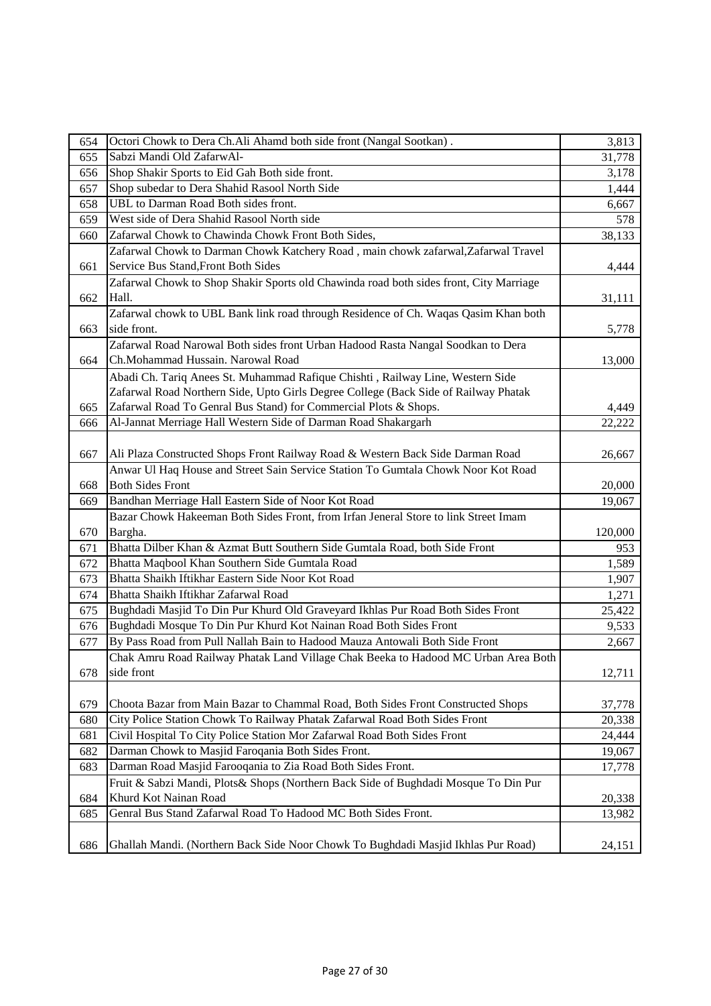| 654 | Octori Chowk to Dera Ch.Ali Ahamd both side front (Nangal Sootkan).                    | 3,813   |
|-----|----------------------------------------------------------------------------------------|---------|
| 655 | Sabzi Mandi Old ZafarwAl-                                                              | 31,778  |
| 656 | Shop Shakir Sports to Eid Gah Both side front.                                         | 3,178   |
| 657 | Shop subedar to Dera Shahid Rasool North Side                                          | 1,444   |
| 658 | UBL to Darman Road Both sides front.                                                   | 6,667   |
| 659 | West side of Dera Shahid Rasool North side                                             | 578     |
| 660 | Zafarwal Chowk to Chawinda Chowk Front Both Sides,                                     | 38,133  |
|     | Zafarwal Chowk to Darman Chowk Katchery Road, main chowk zafarwal, Zafarwal Travel     |         |
| 661 | Service Bus Stand, Front Both Sides                                                    | 4,444   |
|     | Zafarwal Chowk to Shop Shakir Sports old Chawinda road both sides front, City Marriage |         |
| 662 | Hall.                                                                                  | 31,111  |
|     | Zafarwal chowk to UBL Bank link road through Residence of Ch. Waqas Qasim Khan both    |         |
| 663 | side front.                                                                            | 5,778   |
|     | Zafarwal Road Narowal Both sides front Urban Hadood Rasta Nangal Soodkan to Dera       |         |
| 664 | Ch.Mohammad Hussain. Narowal Road                                                      | 13,000  |
|     | Abadi Ch. Tariq Anees St. Muhammad Rafique Chishti, Railway Line, Western Side         |         |
|     | Zafarwal Road Northern Side, Upto Girls Degree College (Back Side of Railway Phatak    |         |
| 665 | Zafarwal Road To Genral Bus Stand) for Commercial Plots & Shops.                       | 4,449   |
| 666 | Al-Jannat Merriage Hall Western Side of Darman Road Shakargarh                         | 22,222  |
|     |                                                                                        |         |
| 667 | Ali Plaza Constructed Shops Front Railway Road & Western Back Side Darman Road         | 26,667  |
|     | Anwar Ul Haq House and Street Sain Service Station To Gumtala Chowk Noor Kot Road      |         |
| 668 | <b>Both Sides Front</b>                                                                | 20,000  |
| 669 | Bandhan Merriage Hall Eastern Side of Noor Kot Road                                    | 19,067  |
|     | Bazar Chowk Hakeeman Both Sides Front, from Irfan Jeneral Store to link Street Imam    |         |
|     | Bargha.                                                                                |         |
| 670 | Bhatta Dilber Khan & Azmat Butt Southern Side Gumtala Road, both Side Front            | 120,000 |
| 671 |                                                                                        | 953     |
| 672 | Bhatta Maqbool Khan Southern Side Gumtala Road                                         | 1,589   |
| 673 | Bhatta Shaikh Iftikhar Eastern Side Noor Kot Road                                      | 1,907   |
| 674 | Bhatta Shaikh Iftikhar Zafarwal Road                                                   | 1,271   |
| 675 | Bughdadi Masjid To Din Pur Khurd Old Graveyard Ikhlas Pur Road Both Sides Front        | 25,422  |
| 676 | Bughdadi Mosque To Din Pur Khurd Kot Nainan Road Both Sides Front                      | 9,533   |
| 677 | By Pass Road from Pull Nallah Bain to Hadood Mauza Antowali Both Side Front            | 2,667   |
|     | Chak Amru Road Railway Phatak Land Village Chak Beeka to Hadood MC Urban Area Both     |         |
| 678 | side front                                                                             | 12,711  |
|     |                                                                                        |         |
| 679 | Choota Bazar from Main Bazar to Chammal Road, Both Sides Front Constructed Shops       | 37,778  |
| 680 | City Police Station Chowk To Railway Phatak Zafarwal Road Both Sides Front             | 20,338  |
| 681 | Civil Hospital To City Police Station Mor Zafarwal Road Both Sides Front               | 24,444  |
| 682 | Darman Chowk to Masjid Faroqania Both Sides Front.                                     | 19,067  |
| 683 | Darman Road Masjid Farooqania to Zia Road Both Sides Front.                            | 17,778  |
|     | Fruit & Sabzi Mandi, Plots& Shops (Northern Back Side of Bughdadi Mosque To Din Pur    |         |
| 684 | Khurd Kot Nainan Road                                                                  | 20,338  |
| 685 | Genral Bus Stand Zafarwal Road To Hadood MC Both Sides Front.                          | 13,982  |
|     |                                                                                        |         |
| 686 | Ghallah Mandi. (Northern Back Side Noor Chowk To Bughdadi Masjid Ikhlas Pur Road)      | 24,151  |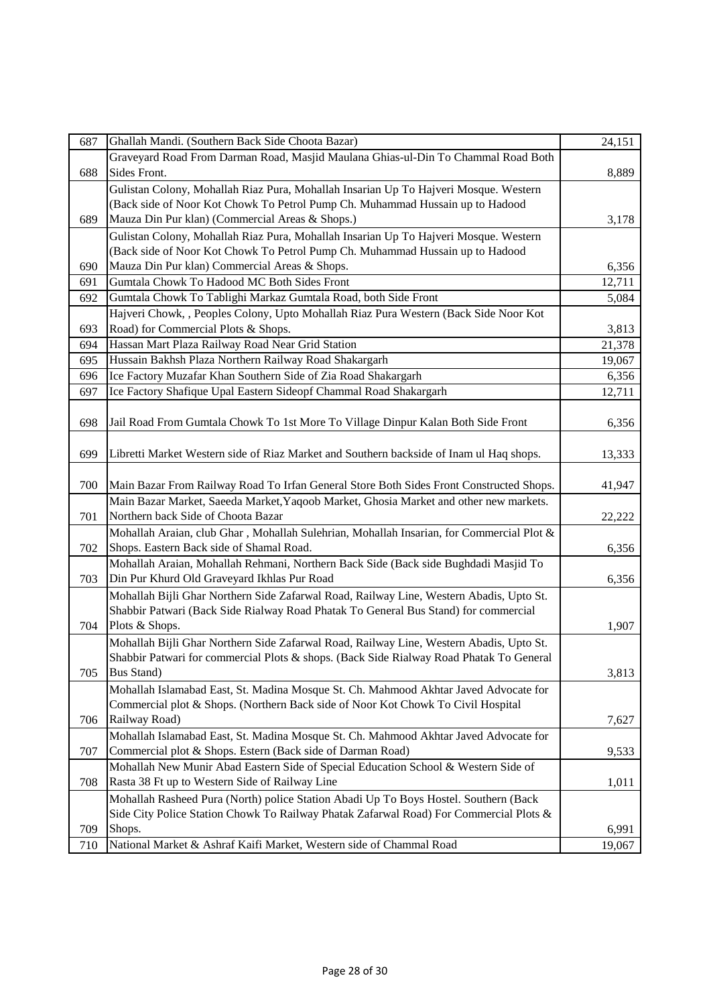| 687 | Ghallah Mandi. (Southern Back Side Choota Bazar)                                         | 24,151 |
|-----|------------------------------------------------------------------------------------------|--------|
|     | Graveyard Road From Darman Road, Masjid Maulana Ghias-ul-Din To Chammal Road Both        |        |
| 688 | Sides Front.                                                                             | 8,889  |
|     | Gulistan Colony, Mohallah Riaz Pura, Mohallah Insarian Up To Hajveri Mosque. Western     |        |
|     | (Back side of Noor Kot Chowk To Petrol Pump Ch. Muhammad Hussain up to Hadood            |        |
| 689 | Mauza Din Pur klan) (Commercial Areas & Shops.)                                          | 3,178  |
|     | Gulistan Colony, Mohallah Riaz Pura, Mohallah Insarian Up To Hajveri Mosque. Western     |        |
|     | (Back side of Noor Kot Chowk To Petrol Pump Ch. Muhammad Hussain up to Hadood            |        |
| 690 | Mauza Din Pur klan) Commercial Areas & Shops.                                            | 6,356  |
| 691 | Gumtala Chowk To Hadood MC Both Sides Front                                              | 12,711 |
| 692 | Gumtala Chowk To Tablighi Markaz Gumtala Road, both Side Front                           | 5,084  |
|     | Hajveri Chowk, , Peoples Colony, Upto Mohallah Riaz Pura Western (Back Side Noor Kot     |        |
| 693 | Road) for Commercial Plots & Shops.                                                      | 3,813  |
| 694 | Hassan Mart Plaza Railway Road Near Grid Station                                         | 21,378 |
| 695 | Hussain Bakhsh Plaza Northern Railway Road Shakargarh                                    | 19,067 |
| 696 | Ice Factory Muzafar Khan Southern Side of Zia Road Shakargarh                            | 6,356  |
| 697 | Ice Factory Shafique Upal Eastern Sideopf Chammal Road Shakargarh                        | 12,711 |
|     |                                                                                          |        |
| 698 | Jail Road From Gumtala Chowk To 1st More To Village Dinpur Kalan Both Side Front         | 6,356  |
|     |                                                                                          |        |
| 699 | Libretti Market Western side of Riaz Market and Southern backside of Inam ul Haq shops.  | 13,333 |
|     |                                                                                          |        |
| 700 | Main Bazar From Railway Road To Irfan General Store Both Sides Front Constructed Shops.  | 41,947 |
|     | Main Bazar Market, Saeeda Market, Yaqoob Market, Ghosia Market and other new markets.    |        |
| 701 | Northern back Side of Choota Bazar                                                       | 22,222 |
|     | Mohallah Araian, club Ghar, Mohallah Sulehrian, Mohallah Insarian, for Commercial Plot & |        |
| 702 | Shops. Eastern Back side of Shamal Road.                                                 | 6,356  |
|     | Mohallah Araian, Mohallah Rehmani, Northern Back Side (Back side Bughdadi Masjid To      |        |
| 703 | Din Pur Khurd Old Graveyard Ikhlas Pur Road                                              | 6,356  |
|     | Mohallah Bijli Ghar Northern Side Zafarwal Road, Railway Line, Western Abadis, Upto St.  |        |
|     | Shabbir Patwari (Back Side Rialway Road Phatak To General Bus Stand) for commercial      |        |
| 704 | Plots & Shops.                                                                           | 1,907  |
|     | Mohallah Bijli Ghar Northern Side Zafarwal Road, Railway Line, Western Abadis, Upto St.  |        |
|     | Shabbir Patwari for commercial Plots & shops. (Back Side Rialway Road Phatak To General  |        |
| 705 | <b>Bus Stand</b> )                                                                       | 3,813  |
|     | Mohallah Islamabad East, St. Madina Mosque St. Ch. Mahmood Akhtar Javed Advocate for     |        |
|     | Commercial plot & Shops. (Northern Back side of Noor Kot Chowk To Civil Hospital         |        |
| 706 | Railway Road)                                                                            | 7,627  |
|     | Mohallah Islamabad East, St. Madina Mosque St. Ch. Mahmood Akhtar Javed Advocate for     |        |
| 707 | Commercial plot & Shops. Estern (Back side of Darman Road)                               | 9,533  |
|     | Mohallah New Munir Abad Eastern Side of Special Education School & Western Side of       |        |
| 708 | Rasta 38 Ft up to Western Side of Railway Line                                           | 1,011  |
|     | Mohallah Rasheed Pura (North) police Station Abadi Up To Boys Hostel. Southern (Back     |        |
|     | Side City Police Station Chowk To Railway Phatak Zafarwal Road) For Commercial Plots &   |        |
| 709 | Shops.                                                                                   | 6,991  |
| 710 | National Market & Ashraf Kaifi Market, Western side of Chammal Road                      | 19,067 |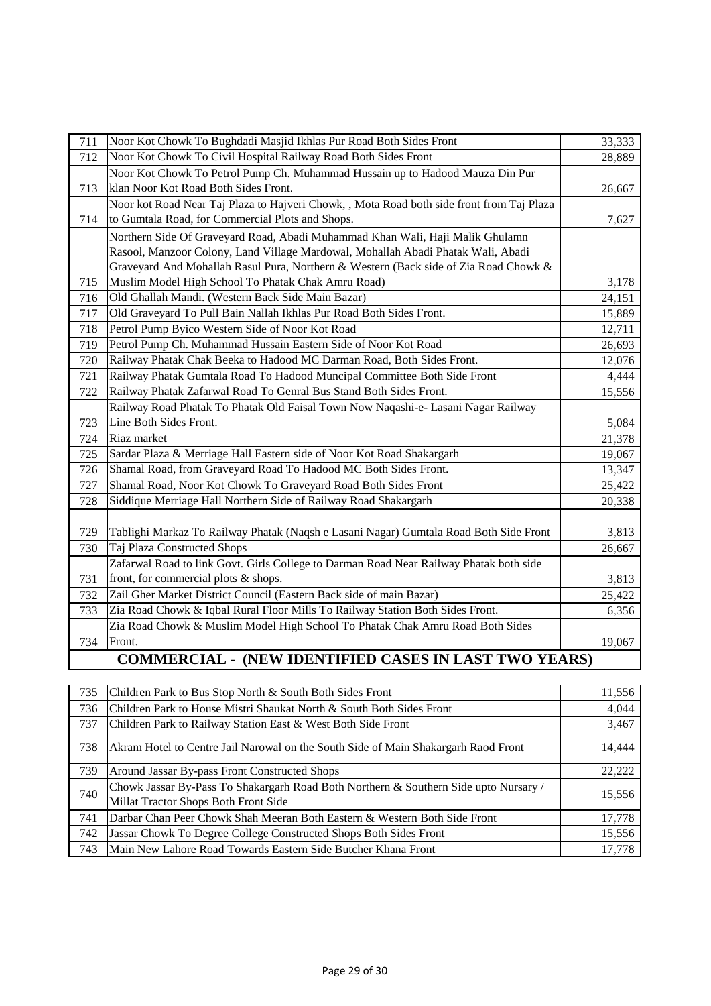| 711 | Noor Kot Chowk To Bughdadi Masjid Ikhlas Pur Road Both Sides Front                        | 33,333 |
|-----|-------------------------------------------------------------------------------------------|--------|
| 712 | Noor Kot Chowk To Civil Hospital Railway Road Both Sides Front                            | 28,889 |
|     | Noor Kot Chowk To Petrol Pump Ch. Muhammad Hussain up to Hadood Mauza Din Pur             |        |
| 713 | klan Noor Kot Road Both Sides Front.                                                      | 26,667 |
|     | Noor kot Road Near Taj Plaza to Hajveri Chowk, , Mota Road both side front from Taj Plaza |        |
| 714 | to Gumtala Road, for Commercial Plots and Shops.                                          | 7,627  |
|     | Northern Side Of Graveyard Road, Abadi Muhammad Khan Wali, Haji Malik Ghulamn             |        |
|     | Rasool, Manzoor Colony, Land Village Mardowal, Mohallah Abadi Phatak Wali, Abadi          |        |
|     | Graveyard And Mohallah Rasul Pura, Northern & Western (Back side of Zia Road Chowk &      |        |
| 715 | Muslim Model High School To Phatak Chak Amru Road)                                        | 3,178  |
| 716 | Old Ghallah Mandi. (Western Back Side Main Bazar)                                         | 24,151 |
| 717 | Old Graveyard To Pull Bain Nallah Ikhlas Pur Road Both Sides Front.                       | 15,889 |
| 718 | Petrol Pump Byico Western Side of Noor Kot Road                                           | 12,711 |
| 719 | Petrol Pump Ch. Muhammad Hussain Eastern Side of Noor Kot Road                            | 26,693 |
| 720 | Railway Phatak Chak Beeka to Hadood MC Darman Road, Both Sides Front.                     | 12,076 |
| 721 | Railway Phatak Gumtala Road To Hadood Muncipal Committee Both Side Front                  | 4,444  |
| 722 | Railway Phatak Zafarwal Road To Genral Bus Stand Both Sides Front.                        | 15,556 |
|     | Railway Road Phatak To Phatak Old Faisal Town Now Naqashi-e- Lasani Nagar Railway         |        |
| 723 | Line Both Sides Front.                                                                    | 5,084  |
| 724 | Riaz market                                                                               | 21,378 |
| 725 | Sardar Plaza & Merriage Hall Eastern side of Noor Kot Road Shakargarh                     | 19,067 |
| 726 | Shamal Road, from Graveyard Road To Hadood MC Both Sides Front.                           | 13,347 |
| 727 | Shamal Road, Noor Kot Chowk To Graveyard Road Both Sides Front                            | 25,422 |
| 728 | Siddique Merriage Hall Northern Side of Railway Road Shakargarh                           | 20,338 |
|     |                                                                                           |        |
| 729 | Tablighi Markaz To Railway Phatak (Naqsh e Lasani Nagar) Gumtala Road Both Side Front     | 3,813  |
| 730 | Taj Plaza Constructed Shops                                                               | 26,667 |
|     | Zafarwal Road to link Govt. Girls College to Darman Road Near Railway Phatak both side    |        |
| 731 | front, for commercial plots & shops.                                                      | 3,813  |
| 732 | Zail Gher Market District Council (Eastern Back side of main Bazar)                       | 25,422 |
| 733 | Zia Road Chowk & Iqbal Rural Floor Mills To Railway Station Both Sides Front.             | 6,356  |
|     | Zia Road Chowk & Muslim Model High School To Phatak Chak Amru Road Both Sides             |        |
| 734 | Front.                                                                                    | 19,067 |
|     | <b>COMMERCIAL - (NEW IDENTIFIED CASES IN LAST TWO YEARS)</b>                              |        |

## **COMMERCIAL - (NEW IDENTIFIED CASES IN LAST TWO YEARS)**

| 735 | Children Park to Bus Stop North & South Both Sides Front                                                                     | 11,556 |
|-----|------------------------------------------------------------------------------------------------------------------------------|--------|
| 736 | Children Park to House Mistri Shaukat North & South Both Sides Front                                                         | 4,044  |
| 737 | Children Park to Railway Station East & West Both Side Front                                                                 | 3,467  |
| 738 | Akram Hotel to Centre Jail Narowal on the South Side of Main Shakargarh Raod Front                                           | 14,444 |
| 739 | Around Jassar By-pass Front Constructed Shops                                                                                | 22,222 |
| 740 | Chowk Jassar By-Pass To Shakargarh Road Both Northern & Southern Side upto Nursary /<br>Millat Tractor Shops Both Front Side | 15,556 |
| 741 | Darbar Chan Peer Chowk Shah Meeran Both Eastern & Western Both Side Front                                                    | 17,778 |
| 742 | Jassar Chowk To Degree College Constructed Shops Both Sides Front                                                            | 15,556 |
| 743 | Main New Lahore Road Towards Eastern Side Butcher Khana Front                                                                | 17.778 |